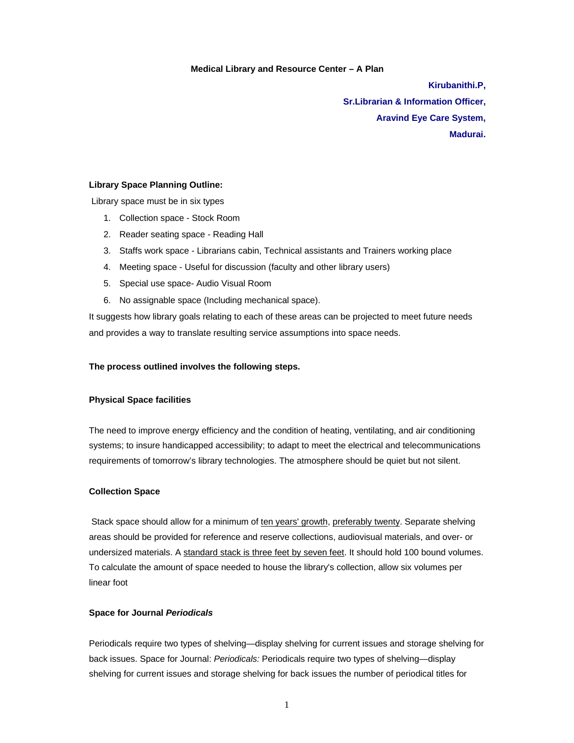#### **Medical Library and Resource Center – A Plan**

**Kirubanithi.P,** 

**Sr.Librarian & Information Officer,** 

**Aravind Eye Care System,** 

**Madurai.** 

#### **Library Space Planning Outline:**

Library space must be in six types

- 1. Collection space Stock Room
- 2. Reader seating space Reading Hall
- 3. Staffs work space Librarians cabin, Technical assistants and Trainers working place
- 4. Meeting space Useful for discussion (faculty and other library users)
- 5. Special use space- Audio Visual Room
- 6. No assignable space (Including mechanical space).

It suggests how library goals relating to each of these areas can be projected to meet future needs and provides a way to translate resulting service assumptions into space needs.

### **The process outlined involves the following steps.**

### **Physical Space facilities**

The need to improve energy efficiency and the condition of heating, ventilating, and air conditioning systems; to insure handicapped accessibility; to adapt to meet the electrical and telecommunications requirements of tomorrow's library technologies. The atmosphere should be quiet but not silent.

### **Collection Space**

Stack space should allow for a minimum of ten years' growth, preferably twenty. Separate shelving areas should be provided for reference and reserve collections, audiovisual materials, and over- or undersized materials. A standard stack is three feet by seven feet. It should hold 100 bound volumes. To calculate the amount of space needed to house the library's collection, allow six volumes per linear foot

### **Space for Journal** *Periodicals*

Periodicals require two types of shelving—display shelving for current issues and storage shelving for back issues. Space for Journal: *Periodicals:* Periodicals require two types of shelving—display shelving for current issues and storage shelving for back issues the number of periodical titles for

1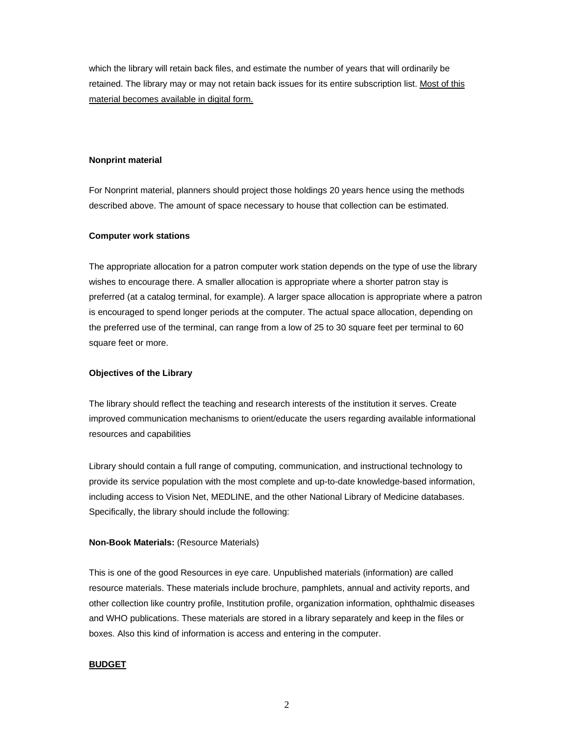which the library will retain back files, and estimate the number of years that will ordinarily be retained. The library may or may not retain back issues for its entire subscription list. Most of this material becomes available in digital form.

#### **Nonprint material**

For Nonprint material, planners should project those holdings 20 years hence using the methods described above. The amount of space necessary to house that collection can be estimated.

#### **Computer work stations**

The appropriate allocation for a patron computer work station depends on the type of use the library wishes to encourage there. A smaller allocation is appropriate where a shorter patron stay is preferred (at a catalog terminal, for example). A larger space allocation is appropriate where a patron is encouraged to spend longer periods at the computer. The actual space allocation, depending on the preferred use of the terminal, can range from a low of 25 to 30 square feet per terminal to 60 square feet or more.

#### **Objectives of the Library**

The library should reflect the teaching and research interests of the institution it serves. Create improved communication mechanisms to orient/educate the users regarding available informational resources and capabilities

Library should contain a full range of computing, communication, and instructional technology to provide its service population with the most complete and up-to-date knowledge-based information, including access to Vision Net, MEDLINE, and the other National Library of Medicine databases. Specifically, the library should include the following:

#### **Non-Book Materials:** (Resource Materials)

This is one of the good Resources in eye care. Unpublished materials (information) are called resource materials. These materials include brochure, pamphlets, annual and activity reports, and other collection like country profile, Institution profile, organization information, ophthalmic diseases and WHO publications. These materials are stored in a library separately and keep in the files or boxes. Also this kind of information is access and entering in the computer.

#### **BUDGET**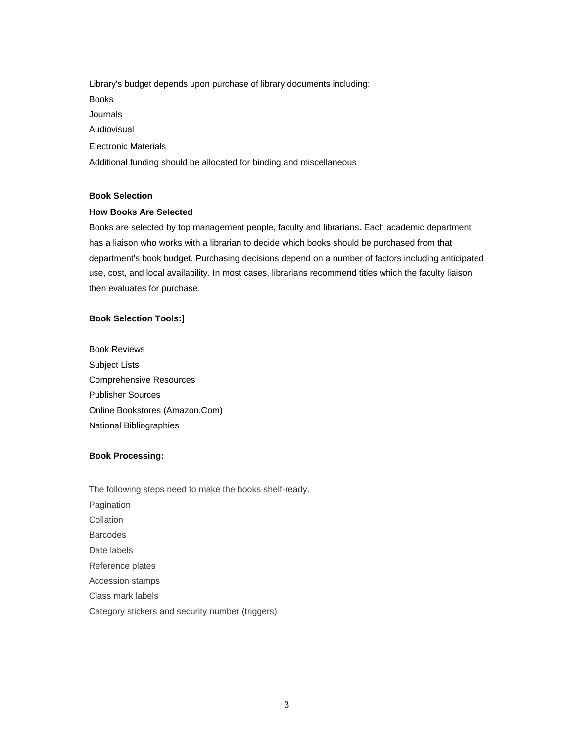Library's budget depends upon purchase of library documents including: Books Journals Audiovisual Electronic Materials Additional funding should be allocated for binding and miscellaneous

## **Book Selection**

## **How Books Are Selected**

Books are selected by top management people, faculty and librarians. Each academic department has a liaison who works with a librarian to decide which books should be purchased from that department's book budget. Purchasing decisions depend on a number of factors including anticipated use, cost, and local availability. In most cases, librarians recommend titles which the faculty liaison then evaluates for purchase.

## **Book Selection Tools:]**

Book Reviews Subject Lists Comprehensive Resources Publisher Sources Online Bookstores (Amazon.Com) National Bibliographies

### **Book Processing:**

The following steps need to make the books shelf-ready.

- Pagination
- Collation
- Barcodes
- Date labels
- Reference plates
- Accession stamps
- Class mark labels
- Category stickers and security number (triggers)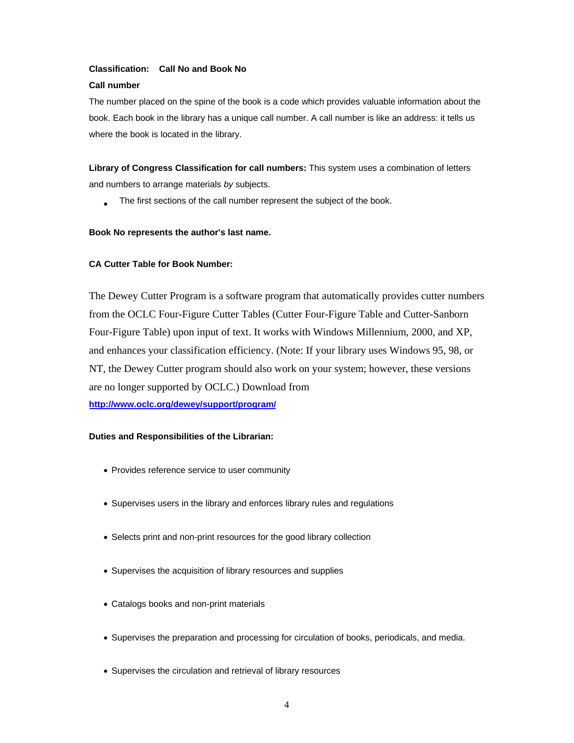# **Classification: Call No and Book No Call number**

The number placed on the spine of the book is a code which provides valuable information about the book. Each book in the library has a unique call number. A call number is like an address: it tells us where the book is located in the library.

**Library of Congress Classification for call numbers:** This system uses a combination of letters and numbers to arrange materials *by* subjects.

The first sections of the call number represent the subject of the book.

## **Book No represents the author's last name.**

## **CA Cutter Table for Book Number:**

The Dewey Cutter Program is a software program that automatically provides cutter numbers from the OCLC Four-Figure Cutter Tables (Cutter Four-Figure Table and Cutter-Sanborn Four-Figure Table) upon input of text. It works with Windows Millennium, 2000, and XP, and enhances your classification efficiency. (Note: If your library uses Windows 95, 98, or NT, the Dewey Cutter program should also work on your system; however, these versions are no longer supported by OCLC.) Download from **<http://www.oclc.org/dewey/support/program/>**

## **Duties and Responsibilities of the Librarian:**

- Provides reference service to user community
- Supervises users in the library and enforces library rules and regulations
- Selects print and non-print resources for the good library collection
- Supervises the acquisition of library resources and supplies
- Catalogs books and non-print materials
- Supervises the preparation and processing for circulation of books, periodicals, and media.
- Supervises the circulation and retrieval of library resources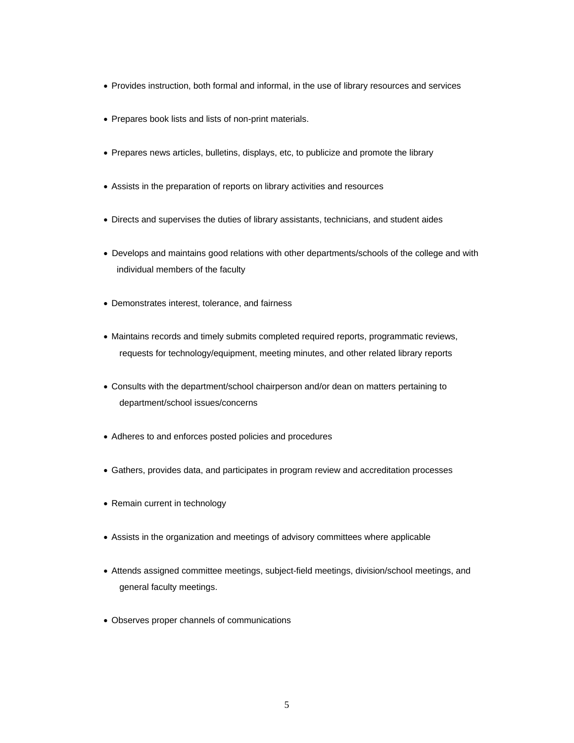- Provides instruction, both formal and informal, in the use of library resources and services
- Prepares book lists and lists of non-print materials.
- Prepares news articles, bulletins, displays, etc, to publicize and promote the library
- Assists in the preparation of reports on library activities and resources
- Directs and supervises the duties of library assistants, technicians, and student aides
- Develops and maintains good relations with other departments/schools of the college and with individual members of the faculty
- Demonstrates interest, tolerance, and fairness
- Maintains records and timely submits completed required reports, programmatic reviews, requests for technology/equipment, meeting minutes, and other related library reports
- Consults with the department/school chairperson and/or dean on matters pertaining to department/school issues/concerns
- Adheres to and enforces posted policies and procedures
- Gathers, provides data, and participates in program review and accreditation processes
- Remain current in technology
- Assists in the organization and meetings of advisory committees where applicable
- Attends assigned committee meetings, subject-field meetings, division/school meetings, and general faculty meetings.
- Observes proper channels of communications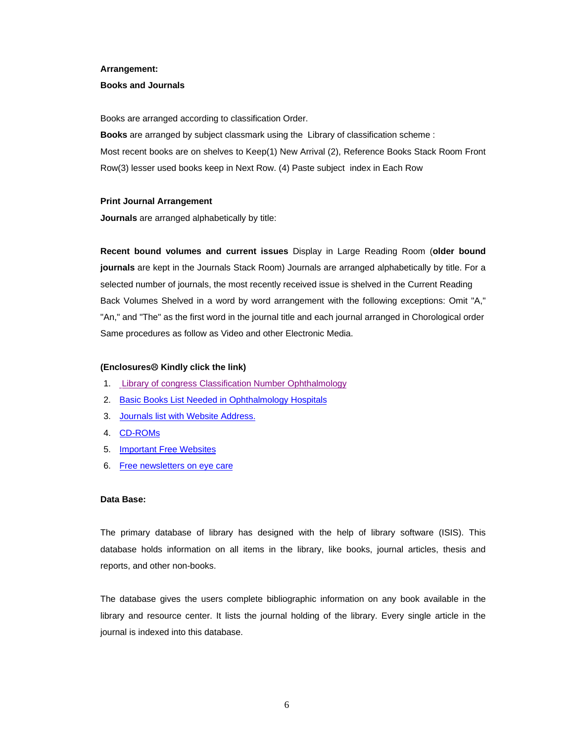#### <span id="page-5-0"></span>**Arrangement:**

## **Books and Journals**

Books are arranged according to classification Order.

**Books** are arranged by subject classmark using the Library of classification scheme : Most recent books are on shelves to Keep(1) New Arrival (2), Reference Books Stack Room Front Row(3) lesser used books keep in Next Row. (4) Paste subject index in Each Row

#### **Print Journal Arrangement**

**Journals** are arranged alphabetically by title:

**Recent bound volumes and current issues** Display in Large Reading Room (**older bound journals** are kept in the Journals Stack Room) Journals are arranged alphabetically by title. For a selected number of journals, the most recently received issue is shelved in the Current Reading Back Volumes Shelved in a word by word arrangement with the following exceptions: Omit "A," "An," and "The" as the first word in the journal title and each journal arranged in Chorological order Same procedures as follow as Video and other Electronic Media.

## **(Enclosures**/ **Kindly click the link)**

- 1. [Library of congress Classification Number Ophthalmology](#page-28-0)
- 2. [Basic Books List Needed in Ophthalmology Hospitals](#page-6-0)
- 3. [Journals list with Website Address.](#page-17-0)
- 4. [CD-ROMs](#page-20-0)
- 5. [Important Free Websites](#page-27-0)
- 6. [Free newsletters on eye care](#page-29-0)

### **Data Base:**

The primary database of library has designed with the help of library software (ISIS). This database holds information on all items in the library, like books, journal articles, thesis and reports, and other non-books.

The database gives the users complete bibliographic information on any book available in the library and resource center. It lists the journal holding of the library. Every single article in the journal is indexed into this database.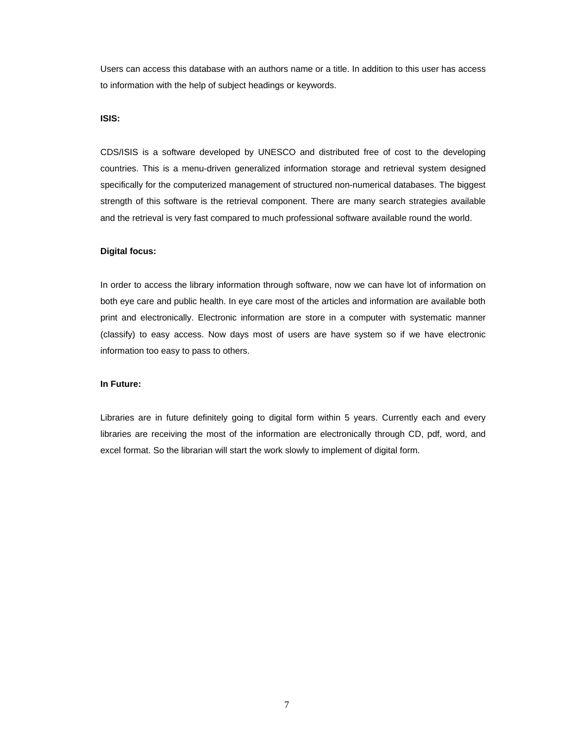<span id="page-6-0"></span>Users can access this database with an authors name or a title. In addition to this user has access to information with the help of subject headings or keywords.

## **ISIS:**

CDS/ISIS is a software developed by UNESCO and distributed free of cost to the developing countries. This is a menu-driven generalized information storage and retrieval system designed specifically for the computerized management of structured non-numerical databases. The biggest strength of this software is the retrieval component. There are many search strategies available and the retrieval is very fast compared to much professional software available round the world.

## **Digital focus:**

In order to access the library information through software, now we can have lot of information on both eye care and public health. In eye care most of the articles and information are available both print and electronically. Electronic information are store in a computer with systematic manner (classify) to easy access. Now days most of users are have system so if we have electronic information too easy to pass to others.

#### **In Future:**

Libraries are in future definitely going to digital form within 5 years. Currently each and every libraries are receiving the most of the information are electronically through CD, pdf, word, and excel format. So the librarian will start the work slowly to implement of digital form.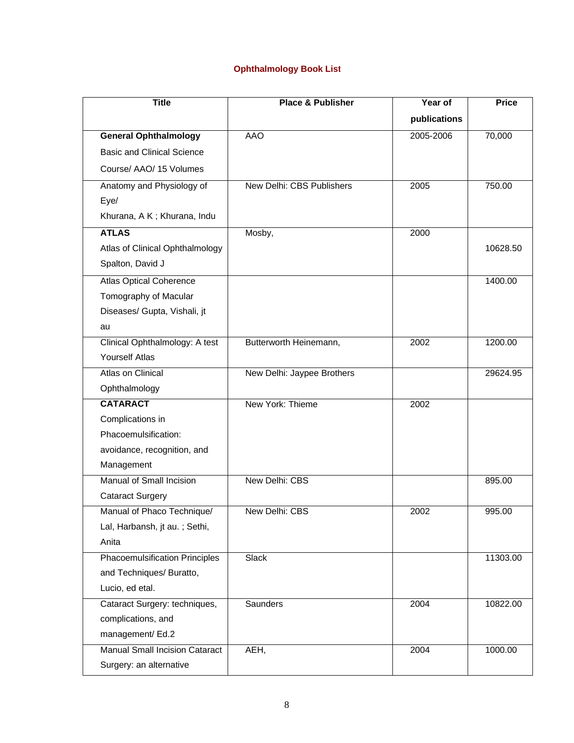# **[Ophthalmology Book List](#page-5-0)**

<span id="page-7-0"></span>

| <b>Title</b>                          | <b>Place &amp; Publisher</b> | Year of      | <b>Price</b> |
|---------------------------------------|------------------------------|--------------|--------------|
|                                       |                              | publications |              |
| <b>General Ophthalmology</b>          | AAO                          | 2005-2006    | 70,000       |
| <b>Basic and Clinical Science</b>     |                              |              |              |
| Course/ AAO/ 15 Volumes               |                              |              |              |
| Anatomy and Physiology of             | New Delhi: CBS Publishers    | 2005         | 750.00       |
| Eye/                                  |                              |              |              |
| Khurana, A K; Khurana, Indu           |                              |              |              |
| <b>ATLAS</b>                          | Mosby,                       | 2000         |              |
| Atlas of Clinical Ophthalmology       |                              |              | 10628.50     |
| Spalton, David J                      |                              |              |              |
| <b>Atlas Optical Coherence</b>        |                              |              | 1400.00      |
| Tomography of Macular                 |                              |              |              |
| Diseases/ Gupta, Vishali, jt          |                              |              |              |
| au                                    |                              |              |              |
| Clinical Ophthalmology: A test        | Butterworth Heinemann,       | 2002         | 1200.00      |
| <b>Yourself Atlas</b>                 |                              |              |              |
| Atlas on Clinical                     | New Delhi: Jaypee Brothers   |              | 29624.95     |
| Ophthalmology                         |                              |              |              |
| <b>CATARACT</b>                       | New York: Thieme             | 2002         |              |
| Complications in                      |                              |              |              |
| Phacoemulsification:                  |                              |              |              |
| avoidance, recognition, and           |                              |              |              |
| Management                            |                              |              |              |
| Manual of Small Incision              | New Delhi: CBS               |              | 895.00       |
| <b>Cataract Surgery</b>               |                              |              |              |
| Manual of Phaco Technique/            | New Delhi: CBS               | 2002         | 995.00       |
| Lal, Harbansh, jt au.; Sethi,         |                              |              |              |
| Anita                                 |                              |              |              |
| Phacoemulsification Principles        | <b>Slack</b>                 |              | 11303.00     |
| and Techniques/ Buratto,              |                              |              |              |
| Lucio, ed etal.                       |                              |              |              |
| Cataract Surgery: techniques,         | Saunders                     | 2004         | 10822.00     |
| complications, and                    |                              |              |              |
| management/ Ed.2                      |                              |              |              |
| <b>Manual Small Incision Cataract</b> | AEH,                         | 2004         | 1000.00      |
| Surgery: an alternative               |                              |              |              |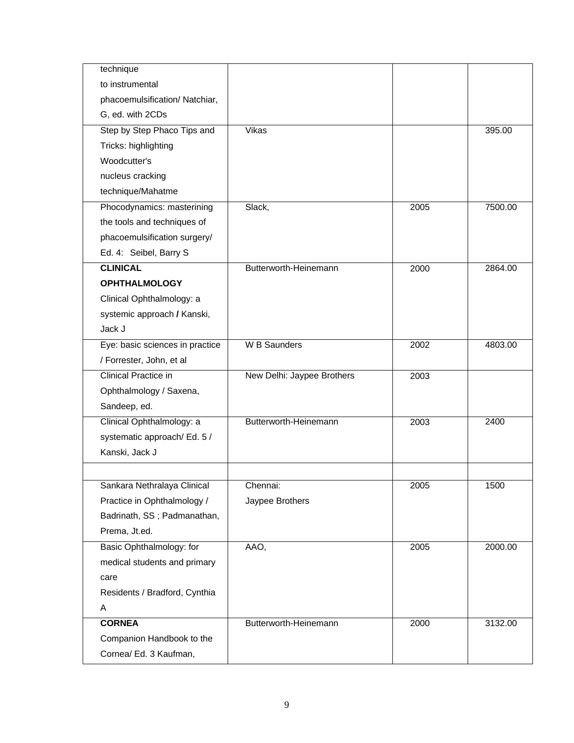| technique                       |                            |      |         |
|---------------------------------|----------------------------|------|---------|
| to instrumental                 |                            |      |         |
| phacoemulsification/ Natchiar,  |                            |      |         |
| G, ed. with 2CDs                |                            |      |         |
| Step by Step Phaco Tips and     | Vikas                      |      | 395.00  |
| Tricks: highlighting            |                            |      |         |
| Woodcutter's                    |                            |      |         |
| nucleus cracking                |                            |      |         |
| technique/Mahatme               |                            |      |         |
| Phocodynamics: masterining      | Slack,                     | 2005 | 7500.00 |
| the tools and techniques of     |                            |      |         |
| phacoemulsification surgery/    |                            |      |         |
| Ed. 4: Seibel, Barry S          |                            |      |         |
| <b>CLINICAL</b>                 | Butterworth-Heinemann      | 2000 | 2864.00 |
| <b>OPHTHALMOLOGY</b>            |                            |      |         |
| Clinical Ophthalmology: a       |                            |      |         |
| systemic approach / Kanski,     |                            |      |         |
| Jack J                          |                            |      |         |
| Eye: basic sciences in practice | <b>W B Saunders</b>        | 2002 | 4803.00 |
| / Forrester, John, et al        |                            |      |         |
| <b>Clinical Practice in</b>     | New Delhi: Jaypee Brothers | 2003 |         |
| Ophthalmology / Saxena,         |                            |      |         |
| Sandeep, ed.                    |                            |      |         |
| Clinical Ophthalmology: a       | Butterworth-Heinemann      | 2003 | 2400    |
| systematic approach/Ed. 5 /     |                            |      |         |
| Kanski, Jack J                  |                            |      |         |
|                                 |                            |      |         |
| Sankara Nethralaya Clinical     | Chennai:                   | 2005 | 1500    |
| Practice in Ophthalmology /     | Jaypee Brothers            |      |         |
| Badrinath, SS; Padmanathan,     |                            |      |         |
| Prema, Jt.ed.                   |                            |      |         |
| Basic Ophthalmology: for        | AAO,                       | 2005 | 2000.00 |
| medical students and primary    |                            |      |         |
| care                            |                            |      |         |
| Residents / Bradford, Cynthia   |                            |      |         |
| A                               |                            |      |         |
| <b>CORNEA</b>                   | Butterworth-Heinemann      | 2000 | 3132.00 |
| Companion Handbook to the       |                            |      |         |
| Cornea/ Ed. 3 Kaufman,          |                            |      |         |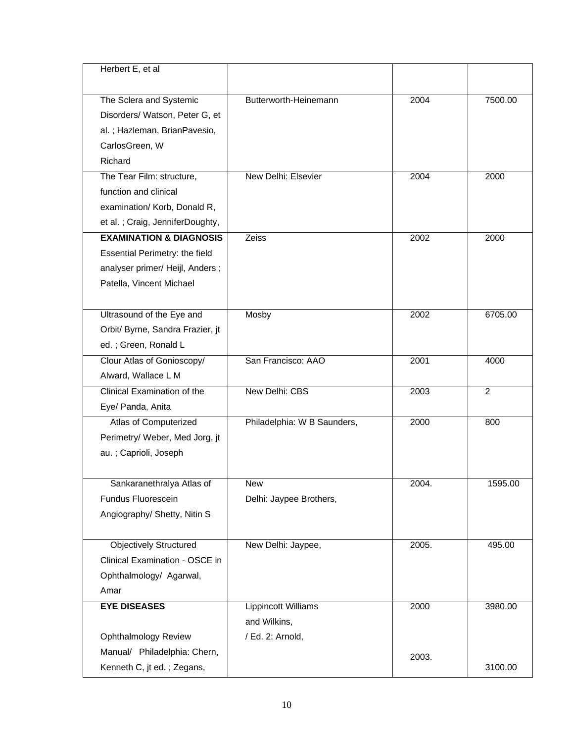| Herbert E, et al                   |                             |       |                |
|------------------------------------|-----------------------------|-------|----------------|
|                                    |                             |       |                |
| The Sclera and Systemic            | Butterworth-Heinemann       | 2004  | 7500.00        |
| Disorders/ Watson, Peter G, et     |                             |       |                |
| al.; Hazleman, BrianPavesio,       |                             |       |                |
| CarlosGreen, W                     |                             |       |                |
| Richard                            |                             |       |                |
| The Tear Film: structure,          | New Delhi: Elsevier         | 2004  | 2000           |
| function and clinical              |                             |       |                |
| examination/ Korb, Donald R,       |                             |       |                |
| et al.; Craig, JenniferDoughty,    |                             |       |                |
| <b>EXAMINATION &amp; DIAGNOSIS</b> | Zeiss                       | 2002  | 2000           |
| Essential Perimetry: the field     |                             |       |                |
| analyser primer/ Heijl, Anders;    |                             |       |                |
| Patella, Vincent Michael           |                             |       |                |
|                                    |                             |       |                |
| Ultrasound of the Eye and          | Mosby                       | 2002  | 6705.00        |
| Orbit/ Byrne, Sandra Frazier, jt   |                             |       |                |
| ed.; Green, Ronald L               |                             |       |                |
| Clour Atlas of Gonioscopy/         | San Francisco: AAO          | 2001  | 4000           |
| Alward, Wallace L M                |                             |       |                |
| Clinical Examination of the        | New Delhi: CBS              | 2003  | $\overline{2}$ |
| Eye/ Panda, Anita                  |                             |       |                |
| Atlas of Computerized              | Philadelphia: W B Saunders, | 2000  | 800            |
| Perimetry/ Weber, Med Jorg, jt     |                             |       |                |
| au.; Caprioli, Joseph              |                             |       |                |
|                                    |                             |       |                |
| Sankaranethralya Atlas of          | <b>New</b>                  | 2004. | 1595.00        |
| Fundus Fluorescein                 | Delhi: Jaypee Brothers,     |       |                |
| Angiography/ Shetty, Nitin S       |                             |       |                |
|                                    |                             |       |                |
| <b>Objectively Structured</b>      | New Delhi: Jaypee,          | 2005. | 495.00         |
| Clinical Examination - OSCE in     |                             |       |                |
| Ophthalmology/ Agarwal,            |                             |       |                |
| Amar                               |                             |       |                |
| <b>EYE DISEASES</b>                | Lippincott Williams         | 2000  | 3980.00        |
|                                    | and Wilkins,                |       |                |
| <b>Ophthalmology Review</b>        | / Ed. 2: Arnold,            |       |                |
| Manual/ Philadelphia: Chern,       |                             | 2003. |                |
| Kenneth C, jt ed.; Zegans,         |                             |       | 3100.00        |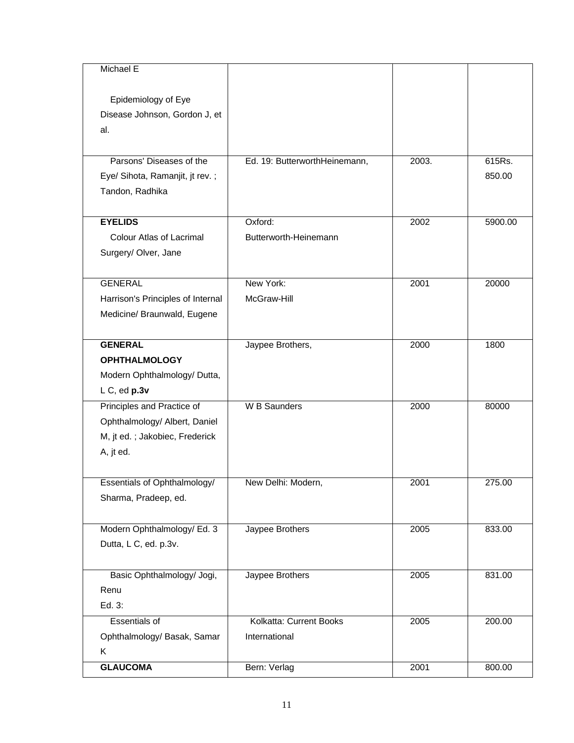| Michael E                         |                               |       |         |
|-----------------------------------|-------------------------------|-------|---------|
|                                   |                               |       |         |
| Epidemiology of Eye               |                               |       |         |
| Disease Johnson, Gordon J, et     |                               |       |         |
| al.                               |                               |       |         |
|                                   |                               |       |         |
| Parsons' Diseases of the          | Ed. 19: ButterworthHeinemann, | 2003. | 615Rs.  |
| Eye/ Sihota, Ramanjit, jt rev.;   |                               |       | 850.00  |
| Tandon, Radhika                   |                               |       |         |
|                                   |                               |       |         |
| <b>EYELIDS</b>                    | Oxford:                       | 2002  | 5900.00 |
| Colour Atlas of Lacrimal          | Butterworth-Heinemann         |       |         |
| Surgery/ Olver, Jane              |                               |       |         |
|                                   |                               |       |         |
| <b>GENERAL</b>                    | New York:                     | 2001  | 20000   |
| Harrison's Principles of Internal | McGraw-Hill                   |       |         |
| Medicine/ Braunwald, Eugene       |                               |       |         |
|                                   |                               |       |         |
| <b>GENERAL</b>                    | Jaypee Brothers,              | 2000  | 1800    |
| <b>OPHTHALMOLOGY</b>              |                               |       |         |
| Modern Ophthalmology/ Dutta,      |                               |       |         |
| $L C$ , ed $p.3v$                 |                               |       |         |
| Principles and Practice of        | W B Saunders                  | 2000  | 80000   |
| Ophthalmology/ Albert, Daniel     |                               |       |         |
| M, jt ed.; Jakobiec, Frederick    |                               |       |         |
| A, jt ed.                         |                               |       |         |
|                                   |                               |       |         |
| Essentials of Ophthalmology/      | New Delhi: Modern,            | 2001  | 275.00  |
| Sharma, Pradeep, ed.              |                               |       |         |
|                                   |                               |       |         |
| Modern Ophthalmology/ Ed. 3       | Jaypee Brothers               | 2005  | 833.00  |
| Dutta, L C, ed. p.3v.             |                               |       |         |
|                                   |                               |       |         |
| Basic Ophthalmology/ Jogi,        | Jaypee Brothers               | 2005  | 831.00  |
| Renu                              |                               |       |         |
| Ed. 3:                            |                               |       |         |
| <b>Essentials of</b>              | Kolkatta: Current Books       | 2005  | 200.00  |
| Ophthalmology/ Basak, Samar       | International                 |       |         |
| K                                 |                               |       |         |
| <b>GLAUCOMA</b>                   | Bern: Verlag                  | 2001  | 800.00  |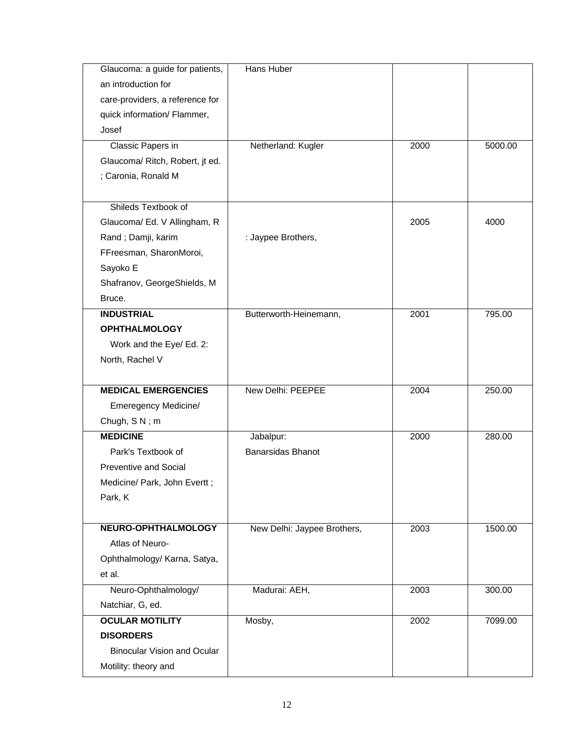| Glaucoma: a guide for patients,    | Hans Huber                  |      |         |
|------------------------------------|-----------------------------|------|---------|
| an introduction for                |                             |      |         |
| care-providers, a reference for    |                             |      |         |
| quick information/ Flammer,        |                             |      |         |
| Josef                              |                             |      |         |
| Classic Papers in                  | Netherland: Kugler          | 2000 | 5000.00 |
| Glaucoma/ Ritch, Robert, jt ed.    |                             |      |         |
| ; Caronia, Ronald M                |                             |      |         |
|                                    |                             |      |         |
| Shileds Textbook of                |                             |      |         |
| Glaucoma/ Ed. V Allingham, R       |                             | 2005 | 4000    |
| Rand; Damji, karim                 | : Jaypee Brothers,          |      |         |
| FFreesman, SharonMoroi,            |                             |      |         |
| Sayoko E                           |                             |      |         |
| Shafranov, GeorgeShields, M        |                             |      |         |
| Bruce.                             |                             |      |         |
| <b>INDUSTRIAL</b>                  | Butterworth-Heinemann,      | 2001 | 795.00  |
| <b>OPHTHALMOLOGY</b>               |                             |      |         |
| Work and the Eye/ Ed. 2:           |                             |      |         |
| North, Rachel V                    |                             |      |         |
|                                    |                             |      |         |
|                                    |                             |      |         |
| <b>MEDICAL EMERGENCIES</b>         | New Delhi: PEEPEE           | 2004 | 250.00  |
| Emeregency Medicine/               |                             |      |         |
| Chugh, SN; m                       |                             |      |         |
| <b>MEDICINE</b>                    | Jabalpur:                   | 2000 | 280.00  |
| Park's Textbook of                 | <b>Banarsidas Bhanot</b>    |      |         |
| <b>Preventive and Social</b>       |                             |      |         |
| Medicine/ Park, John Evertt;       |                             |      |         |
| Park, K                            |                             |      |         |
|                                    |                             |      |         |
| NEURO-OPHTHALMOLOGY                | New Delhi: Jaypee Brothers, | 2003 | 1500.00 |
| Atlas of Neuro-                    |                             |      |         |
| Ophthalmology/ Karna, Satya,       |                             |      |         |
| et al.                             |                             |      |         |
| Neuro-Ophthalmology/               | Madurai: AEH,               | 2003 | 300.00  |
| Natchiar, G, ed.                   |                             |      |         |
| <b>OCULAR MOTILITY</b>             | Mosby,                      | 2002 | 7099.00 |
| <b>DISORDERS</b>                   |                             |      |         |
| <b>Binocular Vision and Ocular</b> |                             |      |         |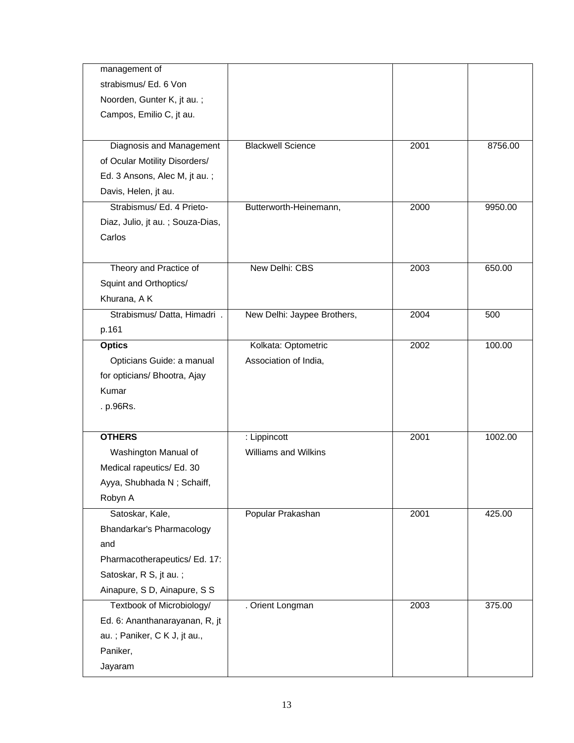| management of                     |                             |      |         |
|-----------------------------------|-----------------------------|------|---------|
| strabismus/ Ed. 6 Von             |                             |      |         |
| Noorden, Gunter K, jt au.;        |                             |      |         |
| Campos, Emilio C, jt au.          |                             |      |         |
|                                   |                             |      |         |
| Diagnosis and Management          | <b>Blackwell Science</b>    | 2001 | 8756.00 |
| of Ocular Motility Disorders/     |                             |      |         |
| Ed. 3 Ansons, Alec M, jt au.;     |                             |      |         |
| Davis, Helen, jt au.              |                             |      |         |
| Strabismus/ Ed. 4 Prieto-         | Butterworth-Heinemann,      | 2000 | 9950.00 |
| Diaz, Julio, jt au. ; Souza-Dias, |                             |      |         |
| Carlos                            |                             |      |         |
|                                   |                             |      |         |
| Theory and Practice of            | <b>New Delhi: CBS</b>       | 2003 | 650.00  |
| Squint and Orthoptics/            |                             |      |         |
| Khurana, A K                      |                             |      |         |
| Strabismus/ Datta, Himadri .      | New Delhi: Jaypee Brothers, | 2004 | 500     |
| p.161                             |                             |      |         |
| <b>Optics</b>                     | Kolkata: Optometric         | 2002 | 100.00  |
| Opticians Guide: a manual         | Association of India,       |      |         |
| for opticians/ Bhootra, Ajay      |                             |      |         |
| Kumar                             |                             |      |         |
| . p.96Rs.                         |                             |      |         |
|                                   |                             |      |         |
| <b>OTHERS</b>                     | : Lippincott                | 2001 | 1002.00 |
| Washington Manual of              | <b>Williams and Wilkins</b> |      |         |
| Medical rapeutics/ Ed. 30         |                             |      |         |
| Ayya, Shubhada N; Schaiff,        |                             |      |         |
| Robyn A                           |                             |      |         |
| Satoskar, Kale,                   | Popular Prakashan           | 2001 | 425.00  |
| Bhandarkar's Pharmacology         |                             |      |         |
| and                               |                             |      |         |
| Pharmacotherapeutics/ Ed. 17:     |                             |      |         |
| Satoskar, R S, jt au.;            |                             |      |         |
| Ainapure, S D, Ainapure, S S      |                             |      |         |
| Textbook of Microbiology/         | . Orient Longman            | 2003 | 375.00  |
| Ed. 6: Ananthanarayanan, R, jt    |                             |      |         |
| au.; Paniker, C K J, jt au.,      |                             |      |         |
| Paniker,                          |                             |      |         |
| Jayaram                           |                             |      |         |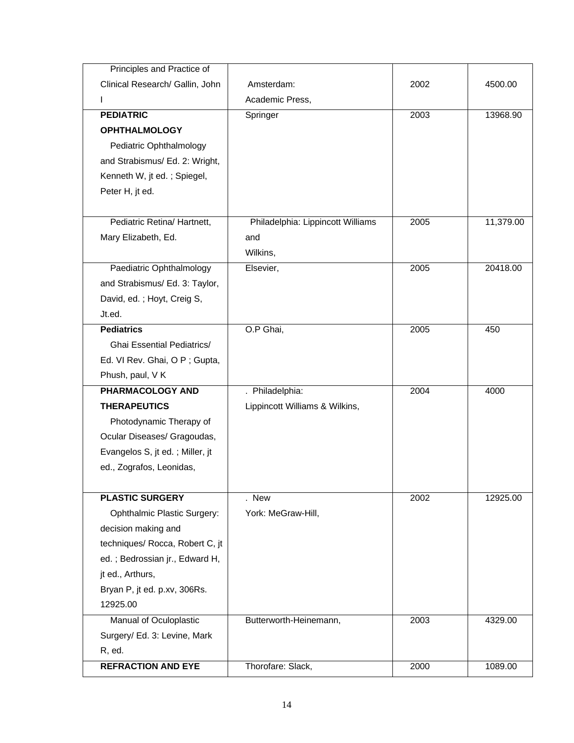| Principles and Practice of         |                                   |      |           |
|------------------------------------|-----------------------------------|------|-----------|
| Clinical Research/ Gallin, John    | Amsterdam:                        | 2002 | 4500.00   |
| I                                  | Academic Press,                   |      |           |
| <b>PEDIATRIC</b>                   | Springer                          | 2003 | 13968.90  |
| <b>OPHTHALMOLOGY</b>               |                                   |      |           |
| Pediatric Ophthalmology            |                                   |      |           |
| and Strabismus/ Ed. 2: Wright,     |                                   |      |           |
| Kenneth W, jt ed.; Spiegel,        |                                   |      |           |
| Peter H, jt ed.                    |                                   |      |           |
|                                    |                                   |      |           |
| Pediatric Retina/ Hartnett,        | Philadelphia: Lippincott Williams | 2005 | 11,379.00 |
| Mary Elizabeth, Ed.                | and                               |      |           |
|                                    | Wilkins,                          |      |           |
| Paediatric Ophthalmology           | Elsevier,                         | 2005 | 20418.00  |
| and Strabismus/ Ed. 3: Taylor,     |                                   |      |           |
| David, ed.; Hoyt, Creig S,         |                                   |      |           |
| Jt.ed.                             |                                   |      |           |
| <b>Pediatrics</b>                  | O.P Ghai,                         | 2005 | 450       |
| <b>Ghai Essential Pediatrics/</b>  |                                   |      |           |
| Ed. VI Rev. Ghai, O P; Gupta,      |                                   |      |           |
| Phush, paul, VK                    |                                   |      |           |
| PHARMACOLOGY AND                   | . Philadelphia:                   | 2004 | 4000      |
| <b>THERAPEUTICS</b>                | Lippincott Williams & Wilkins,    |      |           |
| Photodynamic Therapy of            |                                   |      |           |
| Ocular Diseases/ Gragoudas,        |                                   |      |           |
| Evangelos S, jt ed.; Miller, jt    |                                   |      |           |
| ed., Zografos, Leonidas,           |                                   |      |           |
|                                    |                                   |      |           |
| <b>PLASTIC SURGERY</b>             | . New                             | 2002 | 12925.00  |
| <b>Ophthalmic Plastic Surgery:</b> | York: MeGraw-Hill,                |      |           |
| decision making and                |                                   |      |           |
| techniques/ Rocca, Robert C, jt    |                                   |      |           |
| ed.; Bedrossian jr., Edward H,     |                                   |      |           |
| jt ed., Arthurs,                   |                                   |      |           |
| Bryan P, jt ed. p.xv, 306Rs.       |                                   |      |           |
| 12925.00                           |                                   |      |           |
| Manual of Oculoplastic             | Butterworth-Heinemann,            | 2003 | 4329.00   |
| Surgery/ Ed. 3: Levine, Mark       |                                   |      |           |
| R, ed.                             |                                   |      |           |
| <b>REFRACTION AND EYE</b>          | Thorofare: Slack,                 | 2000 | 1089.00   |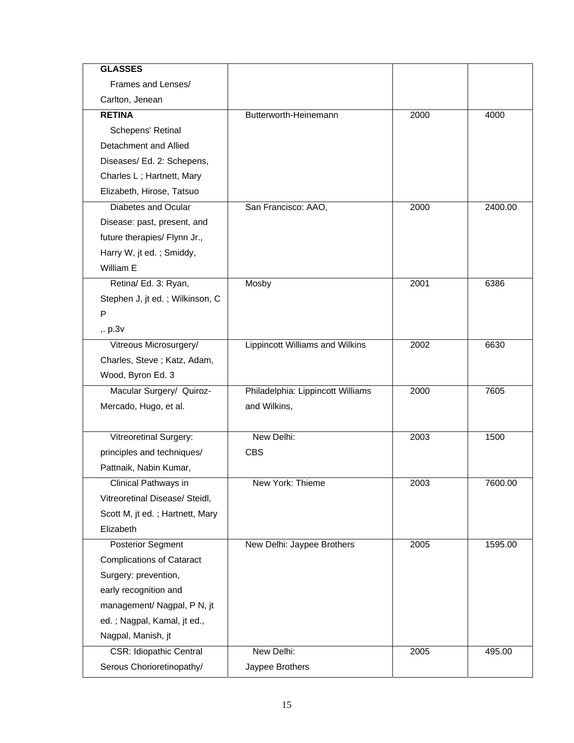| <b>GLASSES</b>                   |                                   |      |         |
|----------------------------------|-----------------------------------|------|---------|
| Frames and Lenses/               |                                   |      |         |
| Carlton, Jenean                  |                                   |      |         |
| <b>RETINA</b>                    | Butterworth-Heinemann             | 2000 | 4000    |
| Schepens' Retinal                |                                   |      |         |
| Detachment and Allied            |                                   |      |         |
| Diseases/ Ed. 2: Schepens,       |                                   |      |         |
| Charles L; Hartnett, Mary        |                                   |      |         |
| Elizabeth, Hirose, Tatsuo        |                                   |      |         |
| Diabetes and Ocular              | San Francisco: AAO,               | 2000 | 2400.00 |
| Disease: past, present, and      |                                   |      |         |
| future therapies/ Flynn Jr.,     |                                   |      |         |
| Harry W, jt ed.; Smiddy,         |                                   |      |         |
| William E                        |                                   |      |         |
| Retina/ Ed. 3: Ryan,             | Mosby                             | 2001 | 6386    |
| Stephen J, jt ed.; Wilkinson, C  |                                   |      |         |
| P                                |                                   |      |         |
| ,. p.3v                          |                                   |      |         |
| Vitreous Microsurgery/           | Lippincott Williams and Wilkins   | 2002 | 6630    |
| Charles, Steve; Katz, Adam,      |                                   |      |         |
| Wood, Byron Ed. 3                |                                   |      |         |
| Macular Surgery/ Quiroz-         | Philadelphia: Lippincott Williams | 2000 | 7605    |
| Mercado, Hugo, et al.            | and Wilkins,                      |      |         |
|                                  |                                   |      |         |
| Vitreoretinal Surgery:           | New Delhi:                        | 2003 | 1500    |
| principles and techniques/       | <b>CBS</b>                        |      |         |
| Pattnaik, Nabin Kumar,           |                                   |      |         |
| Clinical Pathways in             | New York: Thieme                  | 2003 | 7600.00 |
| Vitreoretinal Disease/ Steidl,   |                                   |      |         |
| Scott M, jt ed.; Hartnett, Mary  |                                   |      |         |
| Elizabeth                        |                                   |      |         |
| <b>Posterior Segment</b>         | New Delhi: Jaypee Brothers        | 2005 | 1595.00 |
| <b>Complications of Cataract</b> |                                   |      |         |
| Surgery: prevention,             |                                   |      |         |
| early recognition and            |                                   |      |         |
| management/ Nagpal, P N, jt      |                                   |      |         |
| ed.; Nagpal, Kamal, jt ed.,      |                                   |      |         |
| Nagpal, Manish, jt               |                                   |      |         |
| <b>CSR: Idiopathic Central</b>   | New Delhi:                        | 2005 | 495.00  |
| Serous Chorioretinopathy/        | Jaypee Brothers                   |      |         |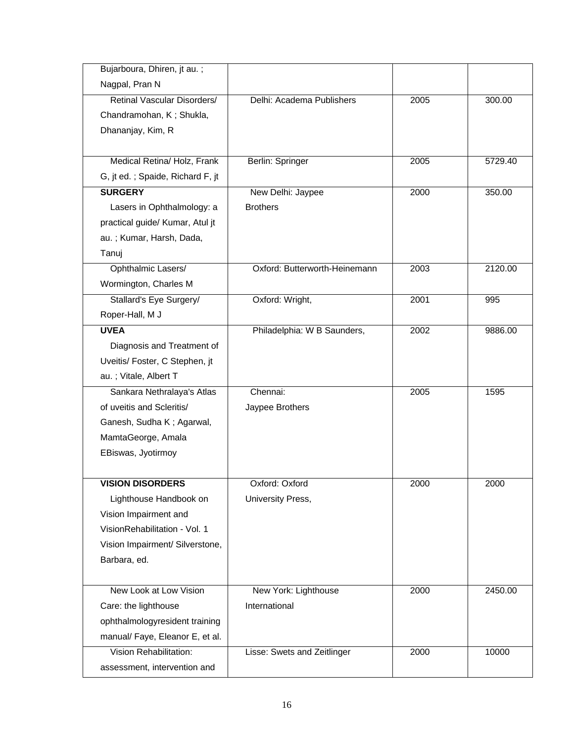| Nagpal, Pran N<br>Retinal Vascular Disorders/<br>Delhi: Academa Publishers<br>2005<br>300.00<br>Chandramohan, K; Shukla,<br>Dhananjay, Kim, R<br>Medical Retina/ Holz, Frank<br>Berlin: Springer<br>2005<br>5729.40<br>G, jt ed.; Spaide, Richard F, jt<br><b>SURGERY</b><br>New Delhi: Jaypee<br>2000<br>350.00<br><b>Brothers</b><br>Lasers in Ophthalmology: a<br>practical guide/ Kumar, Atul jt<br>au.; Kumar, Harsh, Dada,<br>Tanuj<br>Oxford: Butterworth-Heinemann<br>Ophthalmic Lasers/<br>2003<br>2120.00<br>Wormington, Charles M<br>Stallard's Eye Surgery/<br>Oxford: Wright,<br>2001<br>995<br>Roper-Hall, M J<br><b>UVEA</b><br>Philadelphia: W B Saunders,<br>2002<br>9886.00<br>Diagnosis and Treatment of<br>Uveitis/ Foster, C Stephen, jt<br>au.; Vitale, Albert T<br>Chennai:<br>2005<br>1595<br>Sankara Nethralaya's Atlas<br>of uveitis and Scleritis/<br>Jaypee Brothers<br>Ganesh, Sudha K; Agarwal,<br>MamtaGeorge, Amala |
|-----------------------------------------------------------------------------------------------------------------------------------------------------------------------------------------------------------------------------------------------------------------------------------------------------------------------------------------------------------------------------------------------------------------------------------------------------------------------------------------------------------------------------------------------------------------------------------------------------------------------------------------------------------------------------------------------------------------------------------------------------------------------------------------------------------------------------------------------------------------------------------------------------------------------------------------------------|
|                                                                                                                                                                                                                                                                                                                                                                                                                                                                                                                                                                                                                                                                                                                                                                                                                                                                                                                                                     |
|                                                                                                                                                                                                                                                                                                                                                                                                                                                                                                                                                                                                                                                                                                                                                                                                                                                                                                                                                     |
|                                                                                                                                                                                                                                                                                                                                                                                                                                                                                                                                                                                                                                                                                                                                                                                                                                                                                                                                                     |
|                                                                                                                                                                                                                                                                                                                                                                                                                                                                                                                                                                                                                                                                                                                                                                                                                                                                                                                                                     |
|                                                                                                                                                                                                                                                                                                                                                                                                                                                                                                                                                                                                                                                                                                                                                                                                                                                                                                                                                     |
|                                                                                                                                                                                                                                                                                                                                                                                                                                                                                                                                                                                                                                                                                                                                                                                                                                                                                                                                                     |
|                                                                                                                                                                                                                                                                                                                                                                                                                                                                                                                                                                                                                                                                                                                                                                                                                                                                                                                                                     |
|                                                                                                                                                                                                                                                                                                                                                                                                                                                                                                                                                                                                                                                                                                                                                                                                                                                                                                                                                     |
|                                                                                                                                                                                                                                                                                                                                                                                                                                                                                                                                                                                                                                                                                                                                                                                                                                                                                                                                                     |
|                                                                                                                                                                                                                                                                                                                                                                                                                                                                                                                                                                                                                                                                                                                                                                                                                                                                                                                                                     |
|                                                                                                                                                                                                                                                                                                                                                                                                                                                                                                                                                                                                                                                                                                                                                                                                                                                                                                                                                     |
|                                                                                                                                                                                                                                                                                                                                                                                                                                                                                                                                                                                                                                                                                                                                                                                                                                                                                                                                                     |
|                                                                                                                                                                                                                                                                                                                                                                                                                                                                                                                                                                                                                                                                                                                                                                                                                                                                                                                                                     |
|                                                                                                                                                                                                                                                                                                                                                                                                                                                                                                                                                                                                                                                                                                                                                                                                                                                                                                                                                     |
|                                                                                                                                                                                                                                                                                                                                                                                                                                                                                                                                                                                                                                                                                                                                                                                                                                                                                                                                                     |
|                                                                                                                                                                                                                                                                                                                                                                                                                                                                                                                                                                                                                                                                                                                                                                                                                                                                                                                                                     |
|                                                                                                                                                                                                                                                                                                                                                                                                                                                                                                                                                                                                                                                                                                                                                                                                                                                                                                                                                     |
|                                                                                                                                                                                                                                                                                                                                                                                                                                                                                                                                                                                                                                                                                                                                                                                                                                                                                                                                                     |
|                                                                                                                                                                                                                                                                                                                                                                                                                                                                                                                                                                                                                                                                                                                                                                                                                                                                                                                                                     |
|                                                                                                                                                                                                                                                                                                                                                                                                                                                                                                                                                                                                                                                                                                                                                                                                                                                                                                                                                     |
|                                                                                                                                                                                                                                                                                                                                                                                                                                                                                                                                                                                                                                                                                                                                                                                                                                                                                                                                                     |
|                                                                                                                                                                                                                                                                                                                                                                                                                                                                                                                                                                                                                                                                                                                                                                                                                                                                                                                                                     |
|                                                                                                                                                                                                                                                                                                                                                                                                                                                                                                                                                                                                                                                                                                                                                                                                                                                                                                                                                     |
|                                                                                                                                                                                                                                                                                                                                                                                                                                                                                                                                                                                                                                                                                                                                                                                                                                                                                                                                                     |
| EBiswas, Jyotirmoy                                                                                                                                                                                                                                                                                                                                                                                                                                                                                                                                                                                                                                                                                                                                                                                                                                                                                                                                  |
|                                                                                                                                                                                                                                                                                                                                                                                                                                                                                                                                                                                                                                                                                                                                                                                                                                                                                                                                                     |
| <b>VISION DISORDERS</b><br>2000<br>2000<br>Oxford: Oxford                                                                                                                                                                                                                                                                                                                                                                                                                                                                                                                                                                                                                                                                                                                                                                                                                                                                                           |
| Lighthouse Handbook on<br>University Press,                                                                                                                                                                                                                                                                                                                                                                                                                                                                                                                                                                                                                                                                                                                                                                                                                                                                                                         |
| Vision Impairment and                                                                                                                                                                                                                                                                                                                                                                                                                                                                                                                                                                                                                                                                                                                                                                                                                                                                                                                               |
| VisionRehabilitation - Vol. 1                                                                                                                                                                                                                                                                                                                                                                                                                                                                                                                                                                                                                                                                                                                                                                                                                                                                                                                       |
| Vision Impairment/ Silverstone,                                                                                                                                                                                                                                                                                                                                                                                                                                                                                                                                                                                                                                                                                                                                                                                                                                                                                                                     |
| Barbara, ed.                                                                                                                                                                                                                                                                                                                                                                                                                                                                                                                                                                                                                                                                                                                                                                                                                                                                                                                                        |
|                                                                                                                                                                                                                                                                                                                                                                                                                                                                                                                                                                                                                                                                                                                                                                                                                                                                                                                                                     |
| New Look at Low Vision<br>New York: Lighthouse<br>2000<br>2450.00                                                                                                                                                                                                                                                                                                                                                                                                                                                                                                                                                                                                                                                                                                                                                                                                                                                                                   |
| International<br>Care: the lighthouse                                                                                                                                                                                                                                                                                                                                                                                                                                                                                                                                                                                                                                                                                                                                                                                                                                                                                                               |
| ophthalmologyresident training                                                                                                                                                                                                                                                                                                                                                                                                                                                                                                                                                                                                                                                                                                                                                                                                                                                                                                                      |
| manual/ Faye, Eleanor E, et al.                                                                                                                                                                                                                                                                                                                                                                                                                                                                                                                                                                                                                                                                                                                                                                                                                                                                                                                     |
| Vision Rehabilitation:<br>Lisse: Swets and Zeitlinger<br>10000<br>2000                                                                                                                                                                                                                                                                                                                                                                                                                                                                                                                                                                                                                                                                                                                                                                                                                                                                              |
| assessment, intervention and                                                                                                                                                                                                                                                                                                                                                                                                                                                                                                                                                                                                                                                                                                                                                                                                                                                                                                                        |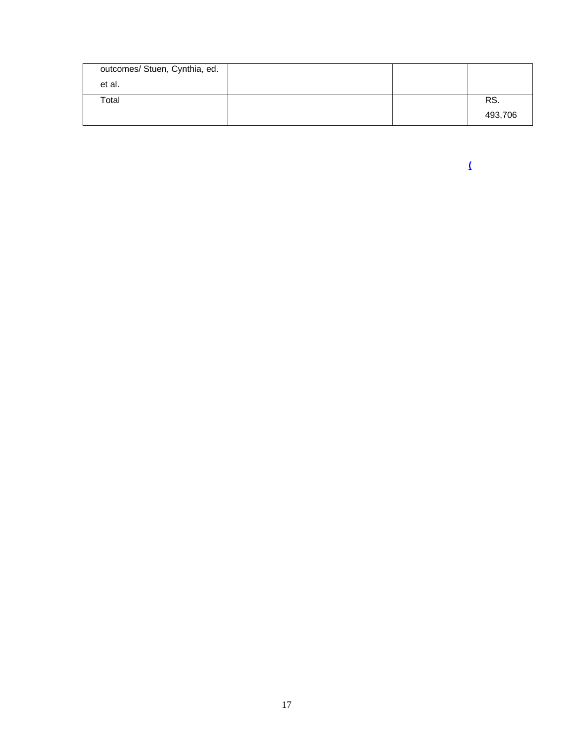| outcomes/ Stuen, Cynthia, ed. |  |         |
|-------------------------------|--|---------|
| et al.                        |  |         |
| Total                         |  | RS.     |
|                               |  | 493,706 |

 **(**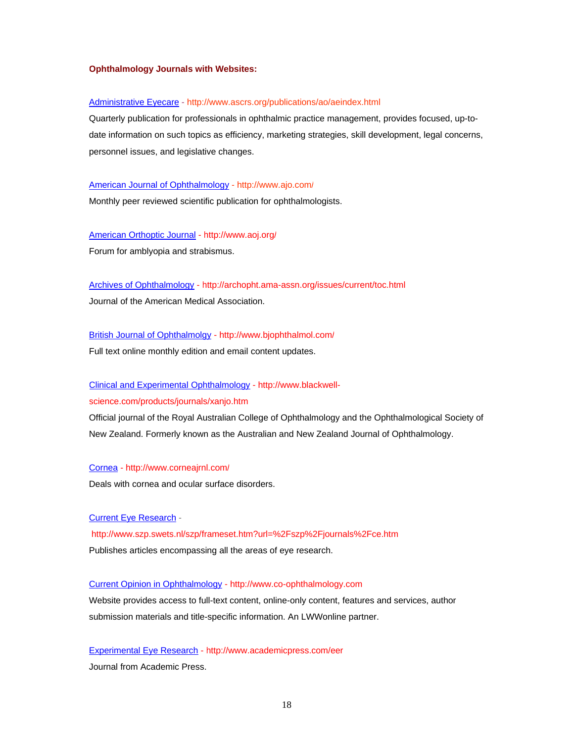#### <span id="page-17-0"></span>**[Ophthalmology Journals with Websites:](#page-5-0)**

#### Administrative Eyecare - <http://www.ascrs.org/publications/ao/aeindex.html>

Quarterly publication for professionals in ophthalmic practice management, provides focused, up-todate information on such topics as efficiency, marketing strategies, skill development, legal concerns, personnel issues, and legislative changes.

#### American Journal of Ophthalmology - <http://www.ajo.com/>

Monthly peer reviewed scientific publication for ophthalmologists.

American Orthoptic Journal -<http://www.aoj.org/> Forum for amblyopia and strabismus.

#### Archives of Ophthalmology - <http://archopht.ama-assn.org/issues/current/toc.html>

Journal of the American Medical Association.

#### British Journal of Ophthalmolgy -<http://www.bjophthalmol.com/>

Full text online monthly edition and email content updates.

#### Clinical and Experimental Ophthalmology - http://www.blackwell-

#### [science.com/products/journals/xanjo.htm](http://www.blackwell-science)

Official journal of the Royal Australian College of Ophthalmology and the Ophthalmological Society of New Zealand. Formerly known as the Australian and New Zealand Journal of Ophthalmology.

#### Cornea -<http://www.corneajrnl.com/>

Deals with cornea and ocular surface disorders.

#### Current Eye Research -

<http://www.szp.swets.nl/szp/frameset.htm?url=%2Fszp%2Fjournals%2Fce.htm> Publishes articles encompassing all the areas of eye research.

#### Current Opinion in Ophthalmology - <http://www.co-ophthalmology.com>

Website provides access to full-text content, online-only content, features and services, author submission materials and title-specific information. An LWWonline partner.

#### Experimental Eye Research - <http://www.academicpress.com/eer>

Journal from Academic Press.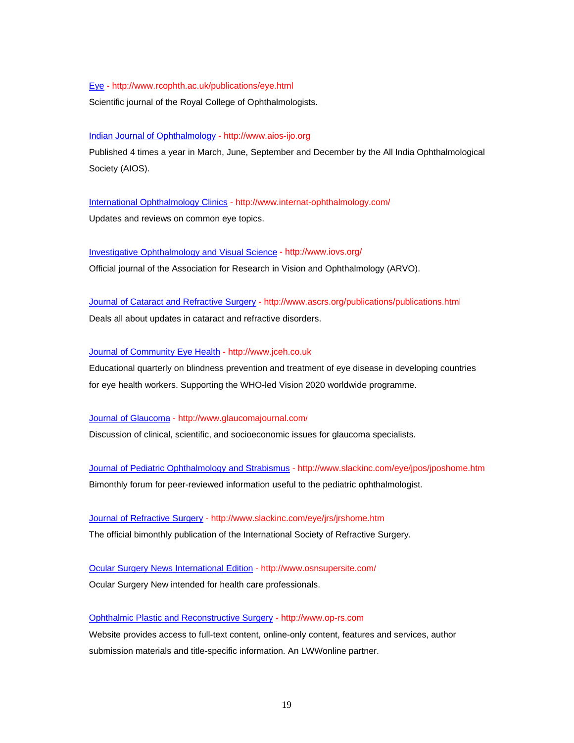#### Eye - <http://www.rcophth.ac.uk/publications/eye.html>

Scientific journal of the Royal College of Ophthalmologists.

#### Indian Journal of Ophthalmology - <http://www.aios-ijo.org>

Published 4 times a year in March, June, September and December by the All India Ophthalmological Society (AIOS).

International Ophthalmology Clinics -<http://www.internat-ophthalmology.com/> Updates and reviews on common eye topics.

Investigative Ophthalmology and Visual Science -<http://www.iovs.org/> Official journal of the Association for Research in Vision and Ophthalmology (ARVO).

Journal of Cataract and Refractive Surgery -<http://www.ascrs.org/publications/publications.html> Deals all about updates in cataract and refractive disorders.

#### Journal of Community Eye Health -<http://www.jceh.co.uk>

Educational quarterly on blindness prevention and treatment of eye disease in developing countries for eye health workers. Supporting the WHO-led Vision 2020 worldwide programme.

#### Journal of Glaucoma -<http://www.glaucomajournal.com/>

Discussion of clinical, scientific, and socioeconomic issues for glaucoma specialists.

Journal of Pediatric Ophthalmology and Strabismus - http://www.slackinc.com/eye/jpos/jposhome.htm Bimonthly forum for peer-reviewed information useful to the pediatric ophthalmologist.

Journal of Refractive Surgery -<http://www.slackinc.com/eye/jrs/jrshome.htm>

The official bimonthly publication of the International Society of Refractive Surgery.

Ocular Surgery News International Edition -<http://www.osnsupersite.com/> Ocular Surgery New intended for health care professionals.

#### Ophthalmic Plastic and Reconstructive Surgery - <http://www.op-rs.com>

Website provides access to full-text content, online-only content, features and services, author submission materials and title-specific information. An LWWonline partner.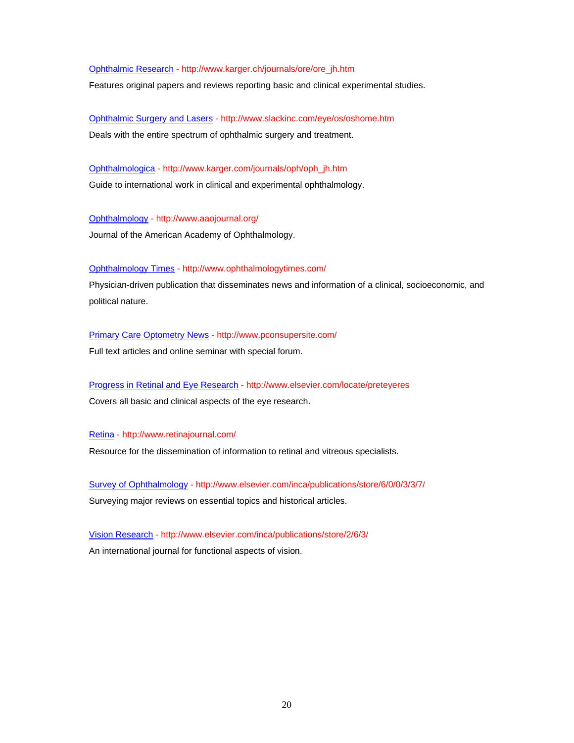#### Ophthalmic Research - [http://www.karger.ch/journals/ore/ore\\_jh.htm](http://www.karger.ch/journals/ore/ore_jh.htm)

Features original papers and reviews reporting basic and clinical experimental studies.

Ophthalmic Surgery and Lasers - <http://www.slackinc.com/eye/os/oshome.htm> Deals with the entire spectrum of ophthalmic surgery and treatment.

Ophthalmologica - [http://www.karger.com/journals/oph/oph\\_jh.htm](http://www.karger.com/journals/oph/oph_jh.htm)

Guide to international work in clinical and experimental ophthalmology.

Ophthalmology - <http://www.aaojournal.org/> Journal of the American Academy of Ophthalmology.

#### Ophthalmology Times - <http://www.ophthalmologytimes.com/>

Physician-driven publication that disseminates news and information of a clinical, socioeconomic, and political nature.

Primary Care Optometry News -<http://www.pconsupersite.com/>

Full text articles and online seminar with special forum.

#### Progress in Retinal and Eye Research - <http://www.elsevier.com/locate/preteyeres>

Covers all basic and clinical aspects of the eye research.

#### Retina - <http://www.retinajournal.com/>

Resource for the dissemination of information to retinal and vitreous specialists.

Survey of Ophthalmology - <http://www.elsevier.com/inca/publications/store/6/0/0/3/3/7/> Surveying major reviews on essential topics and historical articles.

Vision Research - <http://www.elsevier.com/inca/publications/store/2/6/3/>

An international journal for functional aspects of vision.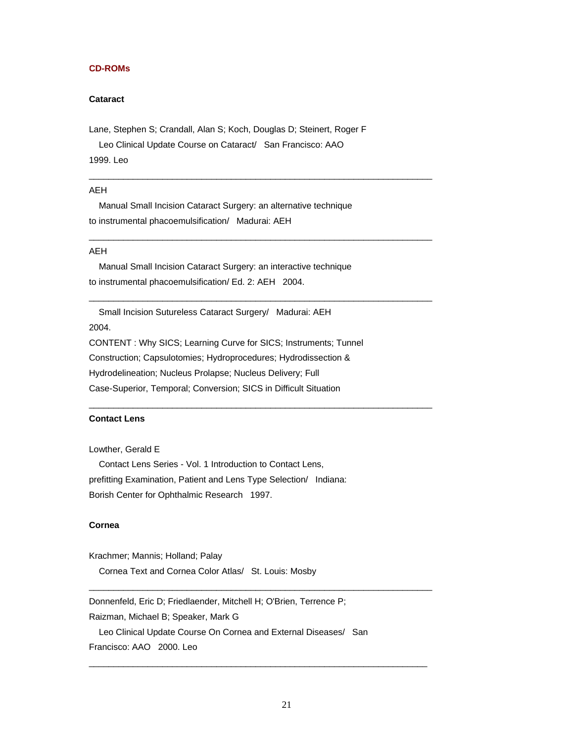### <span id="page-20-0"></span>**[CD-ROMs](#page-5-0)**

### **Cataract**

Lane, Stephen S; Crandall, Alan S; Koch, Douglas D; Steinert, Roger F Leo Clinical Update Course on Cataract/ San Francisco: AAO 1999. Leo

\_\_\_\_\_\_\_\_\_\_\_\_\_\_\_\_\_\_\_\_\_\_\_\_\_\_\_\_\_\_\_\_\_\_\_\_\_\_\_\_\_\_\_\_\_\_\_\_\_\_\_\_\_\_\_\_\_\_\_\_\_\_\_\_\_\_\_\_\_\_

\_\_\_\_\_\_\_\_\_\_\_\_\_\_\_\_\_\_\_\_\_\_\_\_\_\_\_\_\_\_\_\_\_\_\_\_\_\_\_\_\_\_\_\_\_\_\_\_\_\_\_\_\_\_\_\_\_\_\_\_\_\_\_\_\_\_\_\_\_\_

\_\_\_\_\_\_\_\_\_\_\_\_\_\_\_\_\_\_\_\_\_\_\_\_\_\_\_\_\_\_\_\_\_\_\_\_\_\_\_\_\_\_\_\_\_\_\_\_\_\_\_\_\_\_\_\_\_\_\_\_\_\_\_\_\_\_\_\_\_\_

\_\_\_\_\_\_\_\_\_\_\_\_\_\_\_\_\_\_\_\_\_\_\_\_\_\_\_\_\_\_\_\_\_\_\_\_\_\_\_\_\_\_\_\_\_\_\_\_\_\_\_\_\_\_\_\_\_\_\_\_\_\_\_\_\_\_\_\_\_\_

\_\_\_\_\_\_\_\_\_\_\_\_\_\_\_\_\_\_\_\_\_\_\_\_\_\_\_\_\_\_\_\_\_\_\_\_\_\_\_\_\_\_\_\_\_\_\_\_\_\_\_\_\_\_\_\_\_\_\_\_\_\_\_\_\_\_\_\_\_\_

\_\_\_\_\_\_\_\_\_\_\_\_\_\_\_\_\_\_\_\_\_\_\_\_\_\_\_\_\_\_\_\_\_\_\_\_\_\_\_\_\_\_\_\_\_\_\_\_\_\_\_\_\_\_\_\_\_\_\_\_\_\_\_\_\_\_\_\_\_

## AEH

 Manual Small Incision Cataract Surgery: an alternative technique to instrumental phacoemulsification/ Madurai: AEH

#### AEH

 Manual Small Incision Cataract Surgery: an interactive technique to instrumental phacoemulsification/ Ed. 2: AEH 2004.

 Small Incision Sutureless Cataract Surgery/ Madurai: AEH 2004. CONTENT : Why SICS; Learning Curve for SICS; Instruments; Tunnel Construction; Capsulotomies; Hydroprocedures; Hydrodissection & Hydrodelineation; Nucleus Prolapse; Nucleus Delivery; Full

Case-Superior, Temporal; Conversion; SICS in Difficult Situation

## **Contact Lens**

Lowther, Gerald E

 Contact Lens Series - Vol. 1 Introduction to Contact Lens, prefitting Examination, Patient and Lens Type Selection/ Indiana: Borish Center for Ophthalmic Research 1997.

## **Cornea**

Krachmer; Mannis; Holland; Palay Cornea Text and Cornea Color Atlas/ St. Louis: Mosby

Donnenfeld, Eric D; Friedlaender, Mitchell H; O'Brien, Terrence P; Raizman, Michael B; Speaker, Mark G Leo Clinical Update Course On Cornea and External Diseases/ San Francisco: AAO 2000. Leo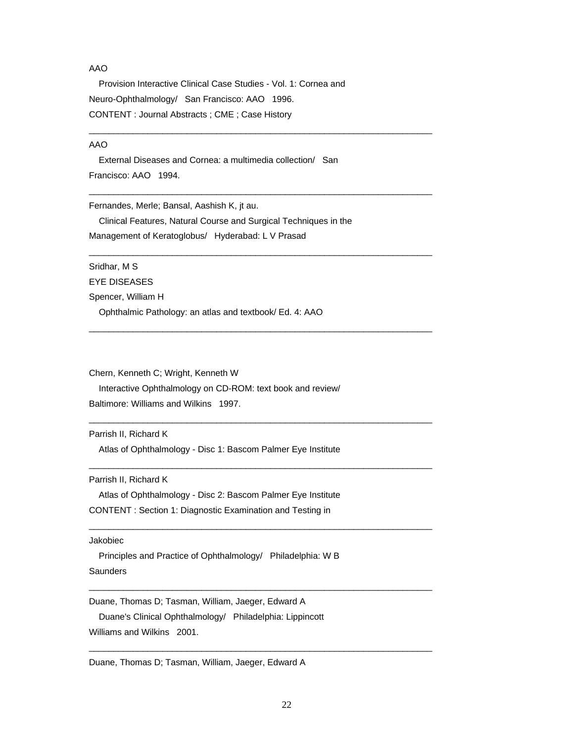## AAO

 Provision Interactive Clinical Case Studies - Vol. 1: Cornea and Neuro-Ophthalmology/ San Francisco: AAO 1996. CONTENT : Journal Abstracts ; CME ; Case History

\_\_\_\_\_\_\_\_\_\_\_\_\_\_\_\_\_\_\_\_\_\_\_\_\_\_\_\_\_\_\_\_\_\_\_\_\_\_\_\_\_\_\_\_\_\_\_\_\_\_\_\_\_\_\_\_\_\_\_\_\_\_\_\_\_\_\_\_\_\_

\_\_\_\_\_\_\_\_\_\_\_\_\_\_\_\_\_\_\_\_\_\_\_\_\_\_\_\_\_\_\_\_\_\_\_\_\_\_\_\_\_\_\_\_\_\_\_\_\_\_\_\_\_\_\_\_\_\_\_\_\_\_\_\_\_\_\_\_\_\_

\_\_\_\_\_\_\_\_\_\_\_\_\_\_\_\_\_\_\_\_\_\_\_\_\_\_\_\_\_\_\_\_\_\_\_\_\_\_\_\_\_\_\_\_\_\_\_\_\_\_\_\_\_\_\_\_\_\_\_\_\_\_\_\_\_\_\_\_\_\_

\_\_\_\_\_\_\_\_\_\_\_\_\_\_\_\_\_\_\_\_\_\_\_\_\_\_\_\_\_\_\_\_\_\_\_\_\_\_\_\_\_\_\_\_\_\_\_\_\_\_\_\_\_\_\_\_\_\_\_\_\_\_\_\_\_\_\_\_\_\_

\_\_\_\_\_\_\_\_\_\_\_\_\_\_\_\_\_\_\_\_\_\_\_\_\_\_\_\_\_\_\_\_\_\_\_\_\_\_\_\_\_\_\_\_\_\_\_\_\_\_\_\_\_\_\_\_\_\_\_\_\_\_\_\_\_\_\_\_\_\_

\_\_\_\_\_\_\_\_\_\_\_\_\_\_\_\_\_\_\_\_\_\_\_\_\_\_\_\_\_\_\_\_\_\_\_\_\_\_\_\_\_\_\_\_\_\_\_\_\_\_\_\_\_\_\_\_\_\_\_\_\_\_\_\_\_\_\_\_\_\_

\_\_\_\_\_\_\_\_\_\_\_\_\_\_\_\_\_\_\_\_\_\_\_\_\_\_\_\_\_\_\_\_\_\_\_\_\_\_\_\_\_\_\_\_\_\_\_\_\_\_\_\_\_\_\_\_\_\_\_\_\_\_\_\_\_\_\_\_\_\_

\_\_\_\_\_\_\_\_\_\_\_\_\_\_\_\_\_\_\_\_\_\_\_\_\_\_\_\_\_\_\_\_\_\_\_\_\_\_\_\_\_\_\_\_\_\_\_\_\_\_\_\_\_\_\_\_\_\_\_\_\_\_\_\_\_\_\_\_\_\_

\_\_\_\_\_\_\_\_\_\_\_\_\_\_\_\_\_\_\_\_\_\_\_\_\_\_\_\_\_\_\_\_\_\_\_\_\_\_\_\_\_\_\_\_\_\_\_\_\_\_\_\_\_\_\_\_\_\_\_\_\_\_\_\_\_\_\_\_\_\_

## AAO

 External Diseases and Cornea: a multimedia collection/ San Francisco: AAO 1994.

Fernandes, Merle; Bansal, Aashish K, jt au.

 Clinical Features, Natural Course and Surgical Techniques in the Management of Keratoglobus/ Hyderabad: L V Prasad

Sridhar, M S

EYE DISEASES

Spencer, William H

Ophthalmic Pathology: an atlas and textbook/ Ed. 4: AAO

Chern, Kenneth C; Wright, Kenneth W

Interactive Ophthalmology on CD-ROM: text book and review/

Baltimore: Williams and Wilkins 1997.

Parrish II, Richard K

Atlas of Ophthalmology - Disc 1: Bascom Palmer Eye Institute

Parrish II, Richard K

Atlas of Ophthalmology - Disc 2: Bascom Palmer Eye Institute

CONTENT : Section 1: Diagnostic Examination and Testing in

## Jakobiec

Principles and Practice of Ophthalmology/ Philadelphia: W B

**Saunders** 

Duane, Thomas D; Tasman, William, Jaeger, Edward A Duane's Clinical Ophthalmology/ Philadelphia: Lippincott Williams and Wilkins 2001.

Duane, Thomas D; Tasman, William, Jaeger, Edward A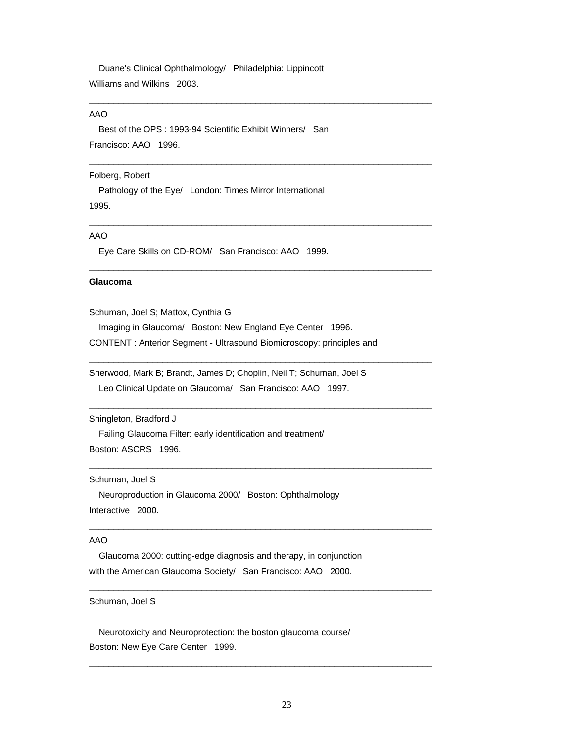Duane's Clinical Ophthalmology/ Philadelphia: Lippincott Williams and Wilkins 2003.

\_\_\_\_\_\_\_\_\_\_\_\_\_\_\_\_\_\_\_\_\_\_\_\_\_\_\_\_\_\_\_\_\_\_\_\_\_\_\_\_\_\_\_\_\_\_\_\_\_\_\_\_\_\_\_\_\_\_\_\_\_\_\_\_\_\_\_\_\_\_

\_\_\_\_\_\_\_\_\_\_\_\_\_\_\_\_\_\_\_\_\_\_\_\_\_\_\_\_\_\_\_\_\_\_\_\_\_\_\_\_\_\_\_\_\_\_\_\_\_\_\_\_\_\_\_\_\_\_\_\_\_\_\_\_\_\_\_\_\_\_

\_\_\_\_\_\_\_\_\_\_\_\_\_\_\_\_\_\_\_\_\_\_\_\_\_\_\_\_\_\_\_\_\_\_\_\_\_\_\_\_\_\_\_\_\_\_\_\_\_\_\_\_\_\_\_\_\_\_\_\_\_\_\_\_\_\_\_\_\_\_

\_\_\_\_\_\_\_\_\_\_\_\_\_\_\_\_\_\_\_\_\_\_\_\_\_\_\_\_\_\_\_\_\_\_\_\_\_\_\_\_\_\_\_\_\_\_\_\_\_\_\_\_\_\_\_\_\_\_\_\_\_\_\_\_\_\_\_\_\_\_

\_\_\_\_\_\_\_\_\_\_\_\_\_\_\_\_\_\_\_\_\_\_\_\_\_\_\_\_\_\_\_\_\_\_\_\_\_\_\_\_\_\_\_\_\_\_\_\_\_\_\_\_\_\_\_\_\_\_\_\_\_\_\_\_\_\_\_\_\_\_

\_\_\_\_\_\_\_\_\_\_\_\_\_\_\_\_\_\_\_\_\_\_\_\_\_\_\_\_\_\_\_\_\_\_\_\_\_\_\_\_\_\_\_\_\_\_\_\_\_\_\_\_\_\_\_\_\_\_\_\_\_\_\_\_\_\_\_\_\_\_

\_\_\_\_\_\_\_\_\_\_\_\_\_\_\_\_\_\_\_\_\_\_\_\_\_\_\_\_\_\_\_\_\_\_\_\_\_\_\_\_\_\_\_\_\_\_\_\_\_\_\_\_\_\_\_\_\_\_\_\_\_\_\_\_\_\_\_\_\_\_

\_\_\_\_\_\_\_\_\_\_\_\_\_\_\_\_\_\_\_\_\_\_\_\_\_\_\_\_\_\_\_\_\_\_\_\_\_\_\_\_\_\_\_\_\_\_\_\_\_\_\_\_\_\_\_\_\_\_\_\_\_\_\_\_\_\_\_\_\_\_

\_\_\_\_\_\_\_\_\_\_\_\_\_\_\_\_\_\_\_\_\_\_\_\_\_\_\_\_\_\_\_\_\_\_\_\_\_\_\_\_\_\_\_\_\_\_\_\_\_\_\_\_\_\_\_\_\_\_\_\_\_\_\_\_\_\_\_\_\_\_

\_\_\_\_\_\_\_\_\_\_\_\_\_\_\_\_\_\_\_\_\_\_\_\_\_\_\_\_\_\_\_\_\_\_\_\_\_\_\_\_\_\_\_\_\_\_\_\_\_\_\_\_\_\_\_\_\_\_\_\_\_\_\_\_\_\_\_\_\_\_

## AAO

 Best of the OPS : 1993-94 Scientific Exhibit Winners/ San Francisco: AAO 1996.

Folberg, Robert

 Pathology of the Eye/ London: Times Mirror International 1995.

#### AAO

Eye Care Skills on CD-ROM/ San Francisco: AAO 1999.

#### **Glaucoma**

Schuman, Joel S; Mattox, Cynthia G

Imaging in Glaucoma/ Boston: New England Eye Center 1996.

CONTENT : Anterior Segment - Ultrasound Biomicroscopy: principles and

Sherwood, Mark B; Brandt, James D; Choplin, Neil T; Schuman, Joel S Leo Clinical Update on Glaucoma/ San Francisco: AAO 1997.

Shingleton, Bradford J

 Failing Glaucoma Filter: early identification and treatment/ Boston: ASCRS 1996.

Schuman, Joel S

 Neuroproduction in Glaucoma 2000/ Boston: Ophthalmology Interactive 2000.

## AAO

 Glaucoma 2000: cutting-edge diagnosis and therapy, in conjunction with the American Glaucoma Society/ San Francisco: AAO 2000.

Schuman, Joel S

 Neurotoxicity and Neuroprotection: the boston glaucoma course/ Boston: New Eye Care Center 1999.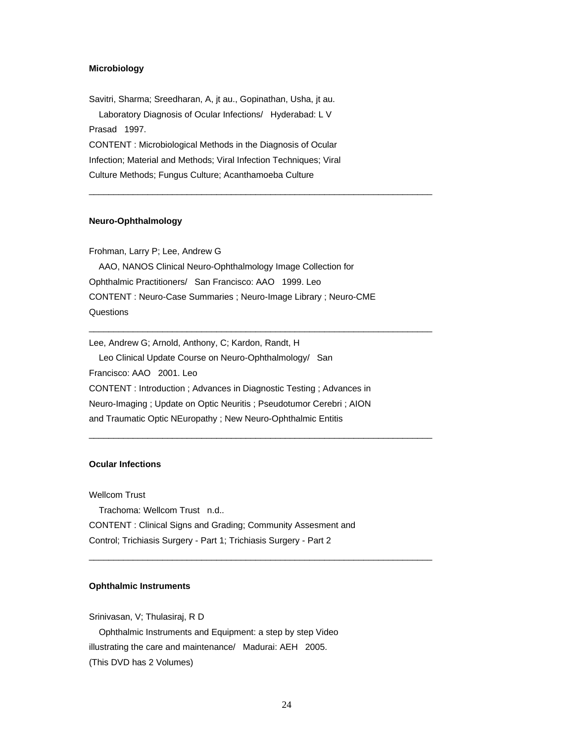#### **Microbiology**

Savitri, Sharma; Sreedharan, A, jt au., Gopinathan, Usha, jt au. Laboratory Diagnosis of Ocular Infections/ Hyderabad: L V Prasad 1997. CONTENT : Microbiological Methods in the Diagnosis of Ocular Infection; Material and Methods; Viral Infection Techniques; Viral Culture Methods; Fungus Culture; Acanthamoeba Culture

#### **Neuro-Ophthalmology**

Frohman, Larry P; Lee, Andrew G

 AAO, NANOS Clinical Neuro-Ophthalmology Image Collection for Ophthalmic Practitioners/ San Francisco: AAO 1999. Leo CONTENT : Neuro-Case Summaries ; Neuro-Image Library ; Neuro-CME **Questions** 

\_\_\_\_\_\_\_\_\_\_\_\_\_\_\_\_\_\_\_\_\_\_\_\_\_\_\_\_\_\_\_\_\_\_\_\_\_\_\_\_\_\_\_\_\_\_\_\_\_\_\_\_\_\_\_\_\_\_\_\_\_\_\_\_\_\_\_\_\_\_

\_\_\_\_\_\_\_\_\_\_\_\_\_\_\_\_\_\_\_\_\_\_\_\_\_\_\_\_\_\_\_\_\_\_\_\_\_\_\_\_\_\_\_\_\_\_\_\_\_\_\_\_\_\_\_\_\_\_\_\_\_\_\_\_\_\_\_\_\_\_

\_\_\_\_\_\_\_\_\_\_\_\_\_\_\_\_\_\_\_\_\_\_\_\_\_\_\_\_\_\_\_\_\_\_\_\_\_\_\_\_\_\_\_\_\_\_\_\_\_\_\_\_\_\_\_\_\_\_\_\_\_\_\_\_\_\_\_\_\_\_

\_\_\_\_\_\_\_\_\_\_\_\_\_\_\_\_\_\_\_\_\_\_\_\_\_\_\_\_\_\_\_\_\_\_\_\_\_\_\_\_\_\_\_\_\_\_\_\_\_\_\_\_\_\_\_\_\_\_\_\_\_\_\_\_\_\_\_\_\_\_

Lee, Andrew G; Arnold, Anthony, C; Kardon, Randt, H Leo Clinical Update Course on Neuro-Ophthalmology/ San Francisco: AAO 2001. Leo CONTENT : Introduction ; Advances in Diagnostic Testing ; Advances in Neuro-Imaging ; Update on Optic Neuritis ; Pseudotumor Cerebri ; AION and Traumatic Optic NEuropathy ; New Neuro-Ophthalmic Entitis

## **Ocular Infections**

Wellcom Trust

 Trachoma: Wellcom Trust n.d.. CONTENT : Clinical Signs and Grading; Community Assesment and Control; Trichiasis Surgery - Part 1; Trichiasis Surgery - Part 2

## **Ophthalmic Instruments**

Srinivasan, V; Thulasiraj, R D

 Ophthalmic Instruments and Equipment: a step by step Video illustrating the care and maintenance/ Madurai: AEH 2005. (This DVD has 2 Volumes)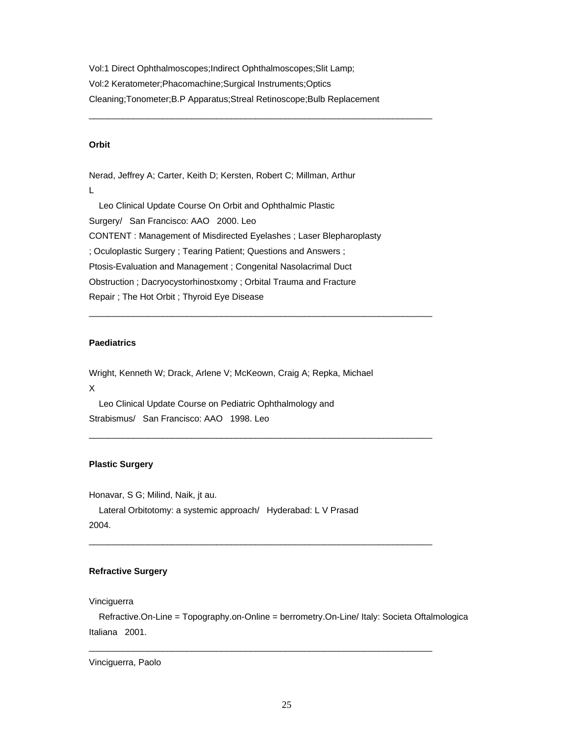Vol:1 Direct Ophthalmoscopes; Indirect Ophthalmoscopes; Slit Lamp; Vol:2 Keratometer;Phacomachine;Surgical Instruments;Optics Cleaning;Tonometer;B.P Apparatus;Streal Retinoscope;Bulb Replacement

\_\_\_\_\_\_\_\_\_\_\_\_\_\_\_\_\_\_\_\_\_\_\_\_\_\_\_\_\_\_\_\_\_\_\_\_\_\_\_\_\_\_\_\_\_\_\_\_\_\_\_\_\_\_\_\_\_\_\_\_\_\_\_\_\_\_\_\_\_\_

## **Orbit**

Nerad, Jeffrey A; Carter, Keith D; Kersten, Robert C; Millman, Arthur L Leo Clinical Update Course On Orbit and Ophthalmic Plastic

Surgery/ San Francisco: AAO 2000. Leo CONTENT : Management of Misdirected Eyelashes ; Laser Blepharoplasty ; Oculoplastic Surgery ; Tearing Patient; Questions and Answers ; Ptosis-Evaluation and Management ; Congenital Nasolacrimal Duct Obstruction ; Dacryocystorhinostxomy ; Orbital Trauma and Fracture Repair ; The Hot Orbit ; Thyroid Eye Disease

\_\_\_\_\_\_\_\_\_\_\_\_\_\_\_\_\_\_\_\_\_\_\_\_\_\_\_\_\_\_\_\_\_\_\_\_\_\_\_\_\_\_\_\_\_\_\_\_\_\_\_\_\_\_\_\_\_\_\_\_\_\_\_\_\_\_\_\_\_\_

\_\_\_\_\_\_\_\_\_\_\_\_\_\_\_\_\_\_\_\_\_\_\_\_\_\_\_\_\_\_\_\_\_\_\_\_\_\_\_\_\_\_\_\_\_\_\_\_\_\_\_\_\_\_\_\_\_\_\_\_\_\_\_\_\_\_\_\_\_\_

\_\_\_\_\_\_\_\_\_\_\_\_\_\_\_\_\_\_\_\_\_\_\_\_\_\_\_\_\_\_\_\_\_\_\_\_\_\_\_\_\_\_\_\_\_\_\_\_\_\_\_\_\_\_\_\_\_\_\_\_\_\_\_\_\_\_\_\_\_\_

## **Paediatrics**

Wright, Kenneth W; Drack, Arlene V; McKeown, Craig A; Repka, Michael X

 Leo Clinical Update Course on Pediatric Ophthalmology and Strabismus/ San Francisco: AAO 1998. Leo

## **Plastic Surgery**

Honavar, S G; Milind, Naik, jt au.

 Lateral Orbitotomy: a systemic approach/ Hyderabad: L V Prasad 2004.

#### **Refractive Surgery**

#### Vinciguerra

 Refractive.On-Line = Topography.on-Online = berrometry.On-Line/ Italy: Societa Oftalmologica Italiana 2001.

\_\_\_\_\_\_\_\_\_\_\_\_\_\_\_\_\_\_\_\_\_\_\_\_\_\_\_\_\_\_\_\_\_\_\_\_\_\_\_\_\_\_\_\_\_\_\_\_\_\_\_\_\_\_\_\_\_\_\_\_\_\_\_\_\_\_\_\_\_\_

Vinciguerra, Paolo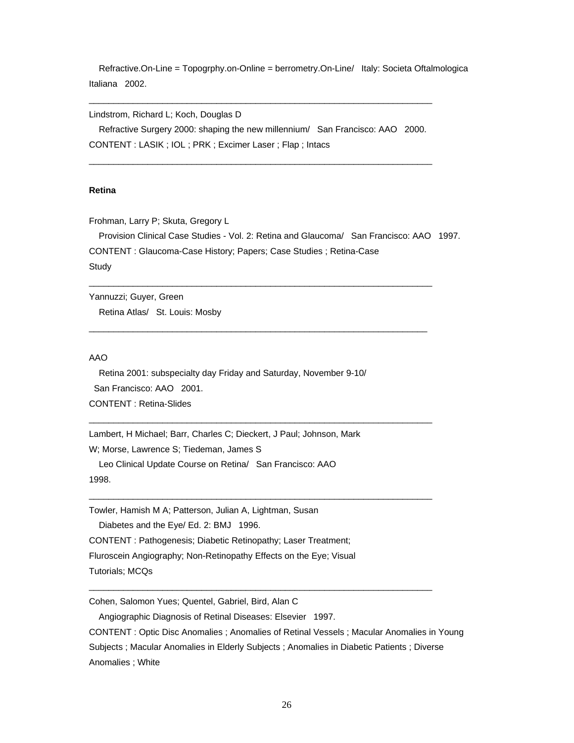Refractive.On-Line = Topogrphy.on-Online = berrometry.On-Line/ Italy: Societa Oftalmologica Italiana 2002.

Lindstrom, Richard L; Koch, Douglas D

 Refractive Surgery 2000: shaping the new millennium/ San Francisco: AAO 2000. CONTENT : LASIK ; IOL ; PRK ; Excimer Laser ; Flap ; Intacs

\_\_\_\_\_\_\_\_\_\_\_\_\_\_\_\_\_\_\_\_\_\_\_\_\_\_\_\_\_\_\_\_\_\_\_\_\_\_\_\_\_\_\_\_\_\_\_\_\_\_\_\_\_\_\_\_\_\_\_\_\_\_\_\_\_\_\_\_\_\_

\_\_\_\_\_\_\_\_\_\_\_\_\_\_\_\_\_\_\_\_\_\_\_\_\_\_\_\_\_\_\_\_\_\_\_\_\_\_\_\_\_\_\_\_\_\_\_\_\_\_\_\_\_\_\_\_\_\_\_\_\_\_\_\_\_\_\_\_\_\_

## **Retina**

Frohman, Larry P; Skuta, Gregory L

 Provision Clinical Case Studies - Vol. 2: Retina and Glaucoma/ San Francisco: AAO 1997. CONTENT : Glaucoma-Case History; Papers; Case Studies ; Retina-Case **Study** 

\_\_\_\_\_\_\_\_\_\_\_\_\_\_\_\_\_\_\_\_\_\_\_\_\_\_\_\_\_\_\_\_\_\_\_\_\_\_\_\_\_\_\_\_\_\_\_\_\_\_\_\_\_\_\_\_\_\_\_\_\_\_\_\_\_\_\_\_\_\_

\_\_\_\_\_\_\_\_\_\_\_\_\_\_\_\_\_\_\_\_\_\_\_\_\_\_\_\_\_\_\_\_\_\_\_\_\_\_\_\_\_\_\_\_\_\_\_\_\_\_\_\_\_\_\_\_\_\_\_\_\_\_\_\_\_\_\_\_\_

\_\_\_\_\_\_\_\_\_\_\_\_\_\_\_\_\_\_\_\_\_\_\_\_\_\_\_\_\_\_\_\_\_\_\_\_\_\_\_\_\_\_\_\_\_\_\_\_\_\_\_\_\_\_\_\_\_\_\_\_\_\_\_\_\_\_\_\_\_\_

\_\_\_\_\_\_\_\_\_\_\_\_\_\_\_\_\_\_\_\_\_\_\_\_\_\_\_\_\_\_\_\_\_\_\_\_\_\_\_\_\_\_\_\_\_\_\_\_\_\_\_\_\_\_\_\_\_\_\_\_\_\_\_\_\_\_\_\_\_\_

\_\_\_\_\_\_\_\_\_\_\_\_\_\_\_\_\_\_\_\_\_\_\_\_\_\_\_\_\_\_\_\_\_\_\_\_\_\_\_\_\_\_\_\_\_\_\_\_\_\_\_\_\_\_\_\_\_\_\_\_\_\_\_\_\_\_\_\_\_\_

Yannuzzi; Guyer, Green

Retina Atlas/ St. Louis: Mosby

## AAO

 Retina 2001: subspecialty day Friday and Saturday, November 9-10/ San Francisco: AAO 2001. CONTENT : Retina-Slides

Lambert, H Michael; Barr, Charles C; Dieckert, J Paul; Johnson, Mark

W; Morse, Lawrence S; Tiedeman, James S

 Leo Clinical Update Course on Retina/ San Francisco: AAO 1998.

Towler, Hamish M A; Patterson, Julian A, Lightman, Susan Diabetes and the Eye/ Ed. 2: BMJ 1996.

CONTENT : Pathogenesis; Diabetic Retinopathy; Laser Treatment;

Fluroscein Angiography; Non-Retinopathy Effects on the Eye; Visual

Tutorials; MCQs

Cohen, Salomon Yues; Quentel, Gabriel, Bird, Alan C

Angiographic Diagnosis of Retinal Diseases: Elsevier 1997.

CONTENT : Optic Disc Anomalies ; Anomalies of Retinal Vessels ; Macular Anomalies in Young Subjects ; Macular Anomalies in Elderly Subjects ; Anomalies in Diabetic Patients ; Diverse Anomalies ; White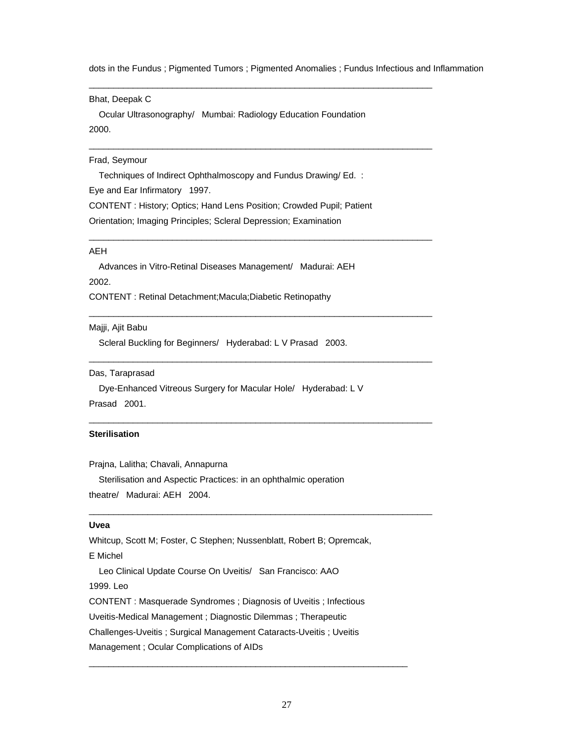dots in the Fundus ; Pigmented Tumors ; Pigmented Anomalies ; Fundus Infectious and Inflammation

\_\_\_\_\_\_\_\_\_\_\_\_\_\_\_\_\_\_\_\_\_\_\_\_\_\_\_\_\_\_\_\_\_\_\_\_\_\_\_\_\_\_\_\_\_\_\_\_\_\_\_\_\_\_\_\_\_\_\_\_\_\_\_\_\_\_\_\_\_\_

\_\_\_\_\_\_\_\_\_\_\_\_\_\_\_\_\_\_\_\_\_\_\_\_\_\_\_\_\_\_\_\_\_\_\_\_\_\_\_\_\_\_\_\_\_\_\_\_\_\_\_\_\_\_\_\_\_\_\_\_\_\_\_\_\_\_\_\_\_\_

\_\_\_\_\_\_\_\_\_\_\_\_\_\_\_\_\_\_\_\_\_\_\_\_\_\_\_\_\_\_\_\_\_\_\_\_\_\_\_\_\_\_\_\_\_\_\_\_\_\_\_\_\_\_\_\_\_\_\_\_\_\_\_\_\_\_\_\_\_\_

\_\_\_\_\_\_\_\_\_\_\_\_\_\_\_\_\_\_\_\_\_\_\_\_\_\_\_\_\_\_\_\_\_\_\_\_\_\_\_\_\_\_\_\_\_\_\_\_\_\_\_\_\_\_\_\_\_\_\_\_\_\_\_\_\_\_\_\_\_\_

\_\_\_\_\_\_\_\_\_\_\_\_\_\_\_\_\_\_\_\_\_\_\_\_\_\_\_\_\_\_\_\_\_\_\_\_\_\_\_\_\_\_\_\_\_\_\_\_\_\_\_\_\_\_\_\_\_\_\_\_\_\_\_\_\_\_\_\_\_\_

\_\_\_\_\_\_\_\_\_\_\_\_\_\_\_\_\_\_\_\_\_\_\_\_\_\_\_\_\_\_\_\_\_\_\_\_\_\_\_\_\_\_\_\_\_\_\_\_\_\_\_\_\_\_\_\_\_\_\_\_\_\_\_\_\_\_\_\_\_\_

\_\_\_\_\_\_\_\_\_\_\_\_\_\_\_\_\_\_\_\_\_\_\_\_\_\_\_\_\_\_\_\_\_\_\_\_\_\_\_\_\_\_\_\_\_\_\_\_\_\_\_\_\_\_\_\_\_\_\_\_\_\_\_\_\_\_\_\_\_\_

#### Bhat, Deepak C

 Ocular Ultrasonography/ Mumbai: Radiology Education Foundation 2000.

#### Frad, Seymour

 Techniques of Indirect Ophthalmoscopy and Fundus Drawing/ Ed. : Eye and Ear Infirmatory 1997. CONTENT : History; Optics; Hand Lens Position; Crowded Pupil; Patient Orientation; Imaging Principles; Scleral Depression; Examination

#### AEH

 Advances in Vitro-Retinal Diseases Management/ Madurai: AEH 2002.

CONTENT : Retinal Detachment;Macula;Diabetic Retinopathy

#### Majji, Ajit Babu

Scleral Buckling for Beginners/ Hyderabad: L V Prasad 2003.

#### Das, Taraprasad

 Dye-Enhanced Vitreous Surgery for Macular Hole/ Hyderabad: L V Prasad 2001.

## **Sterilisation**

Prajna, Lalitha; Chavali, Annapurna

Sterilisation and Aspectic Practices: in an ophthalmic operation

theatre/ Madurai: AEH 2004.

## **Uvea**

Whitcup, Scott M; Foster, C Stephen; Nussenblatt, Robert B; Opremcak, E Michel Leo Clinical Update Course On Uveitis/ San Francisco: AAO 1999. Leo CONTENT : Masquerade Syndromes ; Diagnosis of Uveitis ; Infectious Uveitis-Medical Management ; Diagnostic Dilemmas ; Therapeutic Challenges-Uveitis ; Surgical Management Cataracts-Uveitis ; Uveitis Management ; Ocular Complications of AIDs

\_\_\_\_\_\_\_\_\_\_\_\_\_\_\_\_\_\_\_\_\_\_\_\_\_\_\_\_\_\_\_\_\_\_\_\_\_\_\_\_\_\_\_\_\_\_\_\_\_\_\_\_\_\_\_\_\_\_\_\_\_\_\_\_\_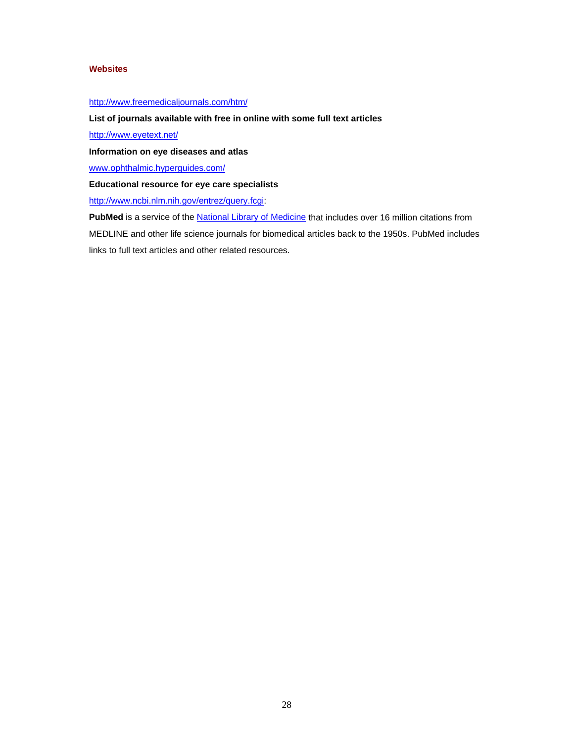## <span id="page-27-0"></span>**[Websites](#page-5-0)**

### <http://www.freemedicaljournals.com/htm/>

**List of journals available with free in online with some full text articles** 

<http://www.eyetext.net/>

**Information on eye diseases and atlas** 

www.ophthalmic.hyperguides.com/

**Educational resource for eye care specialists** 

<http://www.ncbi.nlm.nih.gov/entrez/query.fcgi:>

PubMed is a service of the **National Library of Medicine** that includes over 16 million citations from MEDLINE and other life science journals for biomedical articles back to the 1950s. PubMed includes links to full text articles and other related resources.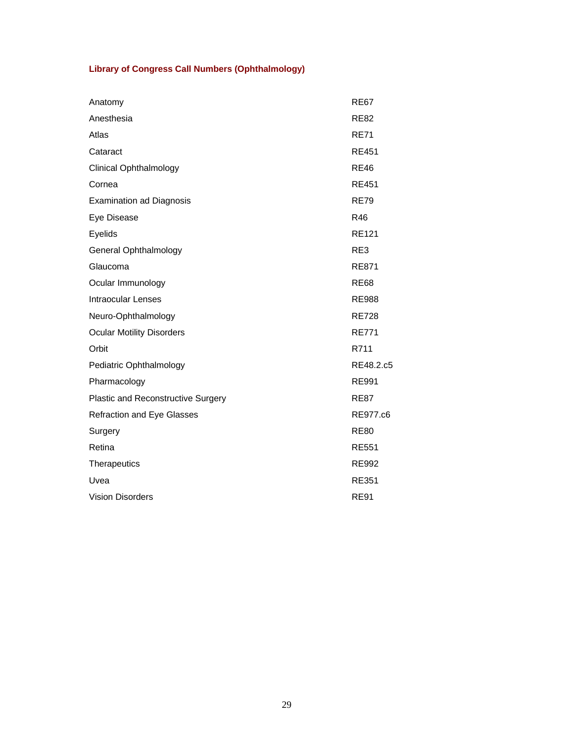# <span id="page-28-0"></span>**[Library of Congress Call Numbers \(Ophthalmology\)](#page-5-0)**

| Anatomy                                   | <b>RE67</b>  |
|-------------------------------------------|--------------|
| Anesthesia                                | <b>RE82</b>  |
| Atlas                                     | <b>RE71</b>  |
| Cataract                                  | <b>RE451</b> |
| <b>Clinical Ophthalmology</b>             | <b>RE46</b>  |
| Cornea                                    | <b>RE451</b> |
| <b>Examination ad Diagnosis</b>           | <b>RE79</b>  |
| Eye Disease                               | R46          |
| Eyelids                                   | <b>RE121</b> |
| General Ophthalmology                     | RE3          |
| Glaucoma                                  | <b>RE871</b> |
| Ocular Immunology                         | <b>RE68</b>  |
| <b>Intraocular Lenses</b>                 | <b>RE988</b> |
| Neuro-Ophthalmology                       | <b>RE728</b> |
| <b>Ocular Motility Disorders</b>          | <b>RE771</b> |
| Orbit                                     | R711         |
| Pediatric Ophthalmology                   | RE48.2.c5    |
| Pharmacology                              | <b>RE991</b> |
| <b>Plastic and Reconstructive Surgery</b> | <b>RE87</b>  |
| <b>Refraction and Eye Glasses</b>         | RE977.c6     |
| Surgery                                   | <b>RE80</b>  |
| Retina                                    | <b>RE551</b> |
| Therapeutics                              | <b>RE992</b> |
| Uvea                                      | <b>RE351</b> |
| <b>Vision Disorders</b>                   | <b>RE91</b>  |